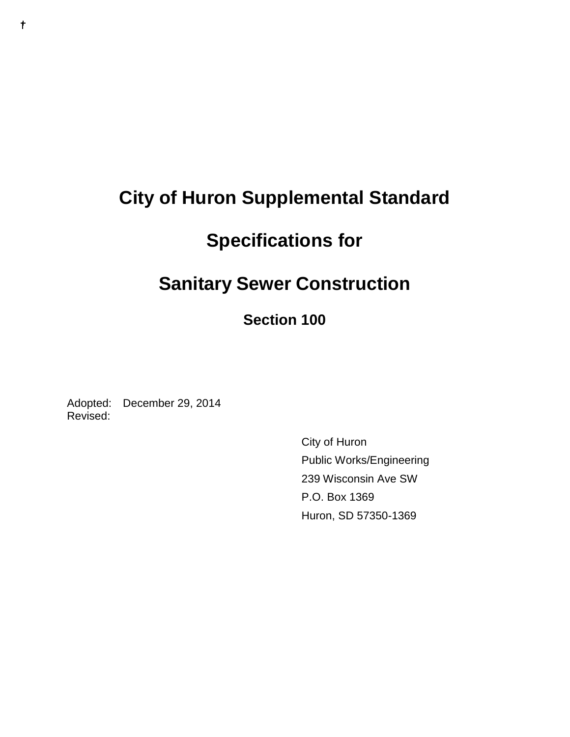# **City of Huron Supplemental Standard**

# **Specifications for**

# **Sanitary Sewer Construction**

## **Section 100**

Adopted: December 29, 2014 Revised:

> City of Huron Public Works/Engineering 239 Wisconsin Ave SW P.O. Box 1369 Huron, SD 57350-1369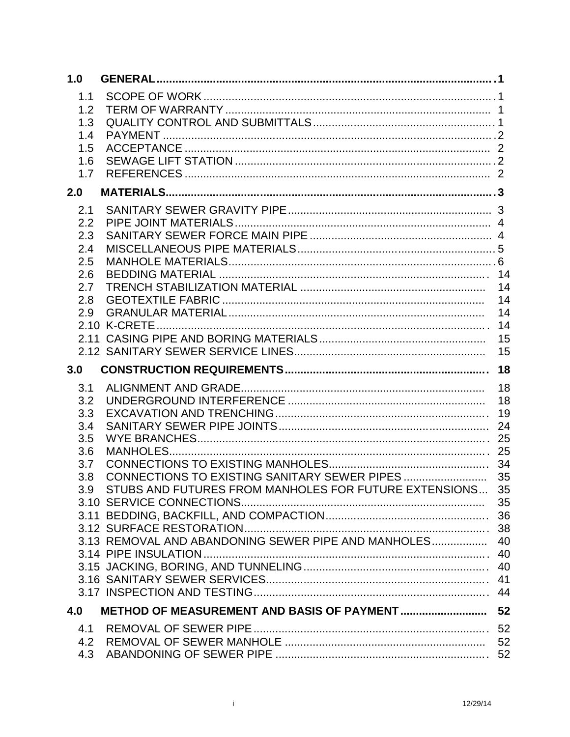| 1.0                                                         |                                                                                                                    |                      |
|-------------------------------------------------------------|--------------------------------------------------------------------------------------------------------------------|----------------------|
| 1.1<br>1.2<br>1.3<br>1.4<br>1.5<br>1.6<br>1.7               |                                                                                                                    |                      |
| 2.0                                                         |                                                                                                                    |                      |
| 2.1<br>2.2<br>2.3<br>2.4<br>2.5<br>2.6<br>2.7<br>2.8<br>2.9 |                                                                                                                    | 14<br>14<br>15<br>15 |
| 3.0                                                         |                                                                                                                    | 18                   |
| 3.1<br>3.2<br>3.3<br>3.4<br>3.5<br>3.6<br>3.7<br>3.8<br>3.9 | STUBS AND FUTURES FROM MANHOLES FOR FUTURE EXTENSIONS 35<br>3.13 REMOVAL AND ABANDONING SEWER PIPE AND MANHOLES 40 | 18<br>18<br>40<br>44 |
| 4.0                                                         |                                                                                                                    | 52                   |
| 4.1<br>4.2<br>4.3                                           |                                                                                                                    |                      |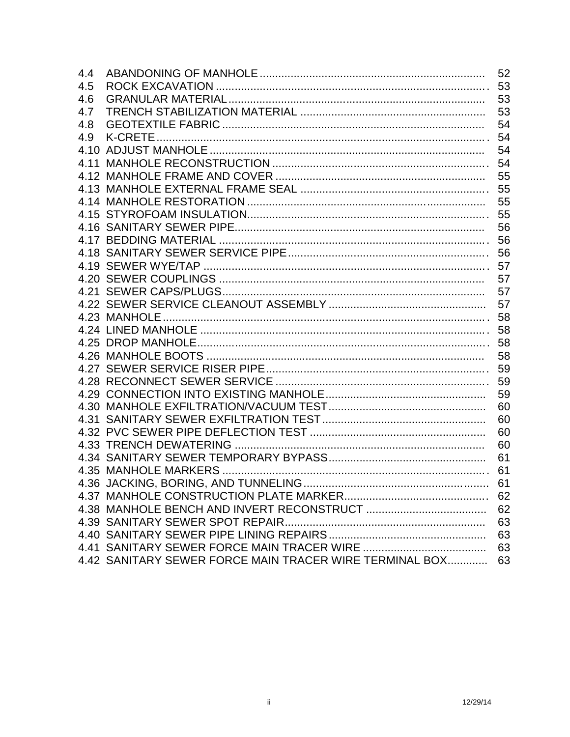| 4.4 |                                                         | 52 |
|-----|---------------------------------------------------------|----|
| 4.5 |                                                         | 53 |
| 4.6 |                                                         | 53 |
| 4.7 |                                                         | 53 |
| 4.8 |                                                         | 54 |
| 4.9 |                                                         | 54 |
|     |                                                         | 54 |
|     |                                                         | 54 |
|     |                                                         | 55 |
|     |                                                         | 55 |
|     |                                                         | 55 |
|     |                                                         | 55 |
|     |                                                         | 56 |
|     |                                                         |    |
|     |                                                         |    |
|     |                                                         |    |
|     |                                                         | 57 |
|     |                                                         | 57 |
|     |                                                         | 57 |
|     |                                                         | 58 |
|     |                                                         |    |
|     |                                                         |    |
|     |                                                         | 58 |
|     |                                                         | 59 |
|     |                                                         | 59 |
|     |                                                         | 59 |
|     |                                                         | 60 |
|     |                                                         | 60 |
|     |                                                         | 60 |
|     |                                                         | 60 |
|     |                                                         | 61 |
|     |                                                         |    |
|     |                                                         | 61 |
|     |                                                         |    |
|     |                                                         | 62 |
|     |                                                         | 63 |
|     |                                                         | 63 |
|     |                                                         | 63 |
|     | 4.42 SANITARY SEWER FORCE MAIN TRACER WIRE TERMINAL BOX | 63 |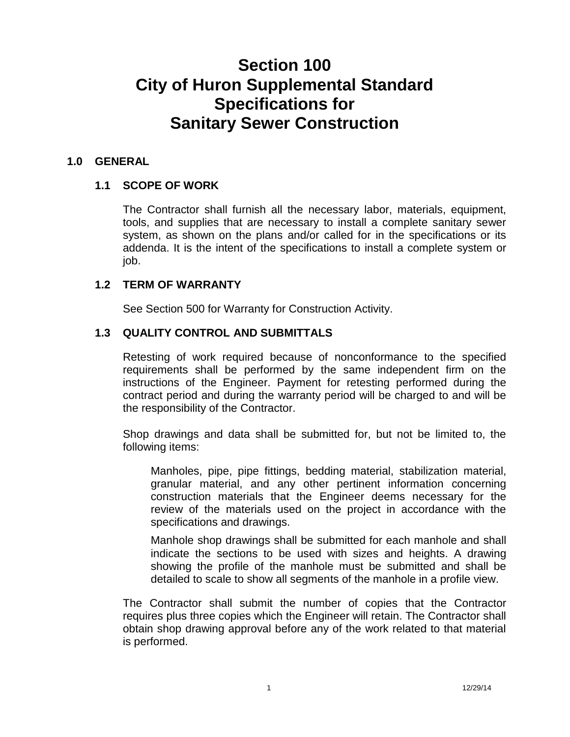## **Section 100 City of Huron Supplemental Standard Specifications for Sanitary Sewer Construction**

## **1.0 GENERAL**

## **1.1 SCOPE OF WORK**

The Contractor shall furnish all the necessary labor, materials, equipment, tools, and supplies that are necessary to install a complete sanitary sewer system, as shown on the plans and/or called for in the specifications or its addenda. It is the intent of the specifications to install a complete system or job.

## **1.2 TERM OF WARRANTY**

See Section 500 for Warranty for Construction Activity.

## **1.3 QUALITY CONTROL AND SUBMITTALS**

Retesting of work required because of nonconformance to the specified requirements shall be performed by the same independent firm on the instructions of the Engineer. Payment for retesting performed during the contract period and during the warranty period will be charged to and will be the responsibility of the Contractor.

Shop drawings and data shall be submitted for, but not be limited to, the following items:

Manholes, pipe, pipe fittings, bedding material, stabilization material, granular material, and any other pertinent information concerning construction materials that the Engineer deems necessary for the review of the materials used on the project in accordance with the specifications and drawings.

Manhole shop drawings shall be submitted for each manhole and shall indicate the sections to be used with sizes and heights. A drawing showing the profile of the manhole must be submitted and shall be detailed to scale to show all segments of the manhole in a profile view.

The Contractor shall submit the number of copies that the Contractor requires plus three copies which the Engineer will retain. The Contractor shall obtain shop drawing approval before any of the work related to that material is performed.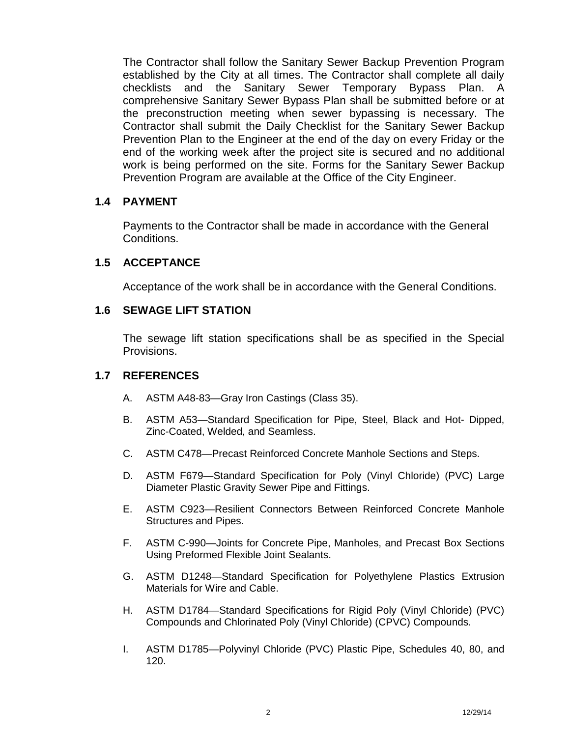The Contractor shall follow the Sanitary Sewer Backup Prevention Program established by the City at all times. The Contractor shall complete all daily checklists and the Sanitary Sewer Temporary Bypass Plan. A comprehensive Sanitary Sewer Bypass Plan shall be submitted before or at the preconstruction meeting when sewer bypassing is necessary. The Contractor shall submit the Daily Checklist for the Sanitary Sewer Backup Prevention Plan to the Engineer at the end of the day on every Friday or the end of the working week after the project site is secured and no additional work is being performed on the site. Forms for the Sanitary Sewer Backup Prevention Program are available at the Office of the City Engineer.

## **1.4 PAYMENT**

Payments to the Contractor shall be made in accordance with the General Conditions.

## **1.5 ACCEPTANCE**

Acceptance of the work shall be in accordance with the General Conditions.

## **1.6 SEWAGE LIFT STATION**

The sewage lift station specifications shall be as specified in the Special Provisions.

## **1.7 REFERENCES**

- A. ASTM A48-83—Gray Iron Castings (Class 35).
- B. ASTM A53—Standard Specification for Pipe, Steel, Black and Hot- Dipped, Zinc-Coated, Welded, and Seamless.
- C. ASTM C478—Precast Reinforced Concrete Manhole Sections and Steps.
- D. ASTM F679—Standard Specification for Poly (Vinyl Chloride) (PVC) Large Diameter Plastic Gravity Sewer Pipe and Fittings.
- E. ASTM C923—Resilient Connectors Between Reinforced Concrete Manhole Structures and Pipes.
- F. ASTM C-990—Joints for Concrete Pipe, Manholes, and Precast Box Sections Using Preformed Flexible Joint Sealants.
- G. ASTM D1248—Standard Specification for Polyethylene Plastics Extrusion Materials for Wire and Cable.
- H. ASTM D1784—Standard Specifications for Rigid Poly (Vinyl Chloride) (PVC) Compounds and Chlorinated Poly (Vinyl Chloride) (CPVC) Compounds.
- I. ASTM D1785—Polyvinyl Chloride (PVC) Plastic Pipe, Schedules 40, 80, and 120.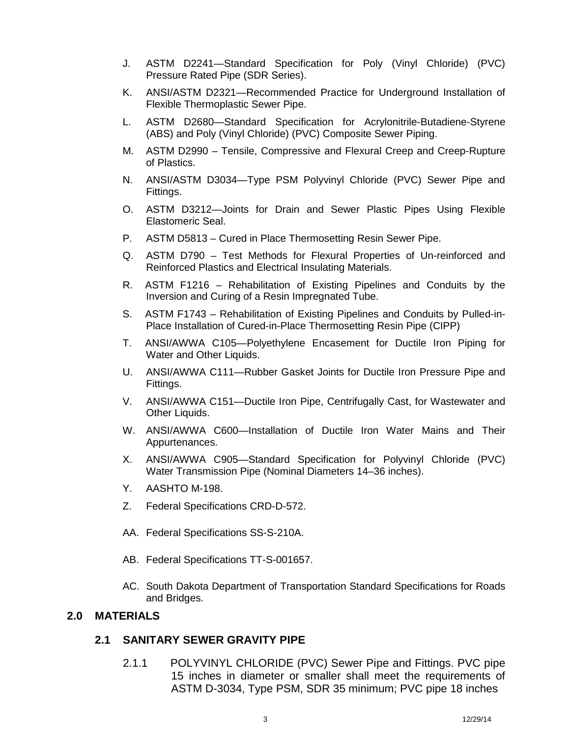- J. ASTM D2241—Standard Specification for Poly (Vinyl Chloride) (PVC) Pressure Rated Pipe (SDR Series).
- K. ANSI/ASTM D2321-Recommended Practice for Underground Installation of Flexible Thermoplastic Sewer Pipe.
- L. ASTM D2680—Standard Specification for Acrylonitrile-Butadiene-Styrene (ABS) and Poly (Vinyl Chloride) (PVC) Composite Sewer Piping.
- M. ASTM D2990 Tensile, Compressive and Flexural Creep and Creep-Rupture of Plastics.
- N. ANSI/ASTM D3034—Type PSM Polyvinyl Chloride (PVC) Sewer Pipe and Fittings.
- O. ASTM D3212—Joints for Drain and Sewer Plastic Pipes Using Flexible Elastomeric Seal.
- P. ASTM D5813 Cured in Place Thermosetting Resin Sewer Pipe.
- Q. ASTM D790 Test Methods for Flexural Properties of Un-reinforced and Reinforced Plastics and Electrical Insulating Materials.
- R. ASTM F1216 Rehabilitation of Existing Pipelines and Conduits by the Inversion and Curing of a Resin Impregnated Tube.
- S. ASTM F1743 Rehabilitation of Existing Pipelines and Conduits by Pulled-in- Place Installation of Cured-in-Place Thermosetting Resin Pipe (CIPP)
- T. ANSI/AWWA C105—Polyethylene Encasement for Ductile Iron Piping for Water and Other Liquids.
- U. ANSI/AWWA C111—Rubber Gasket Joints for Ductile Iron Pressure Pipe and Fittings.
- V. ANSI/AWWA C151—Ductile Iron Pipe, Centrifugally Cast, for Wastewater and Other Liquids.
- W. ANSI/AWWA C600—Installation of Ductile Iron Water Mains and Their Appurtenances.
- X. ANSI/AWWA C905—Standard Specification for Polyvinyl Chloride (PVC) Water Transmission Pipe (Nominal Diameters 14–36 inches).
- Y. AASHTO M-198.
- Z. Federal Specifications CRD-D-572.
- AA. Federal Specifications SS-S-210A.
- AB. Federal Specifications TT-S-001657.
- AC. South Dakota Department of Transportation Standard Specifications for Roads and Bridges.

## **2.0 MATERIALS**

## **2.1 SANITARY SEWER GRAVITY PIPE**

2.1.1 POLYVINYL CHLORIDE (PVC) Sewer Pipe and Fittings. PVC pipe 15 inches in diameter or smaller shall meet the requirements of ASTM D-3034, Type PSM, SDR 35 minimum; PVC pipe 18 inches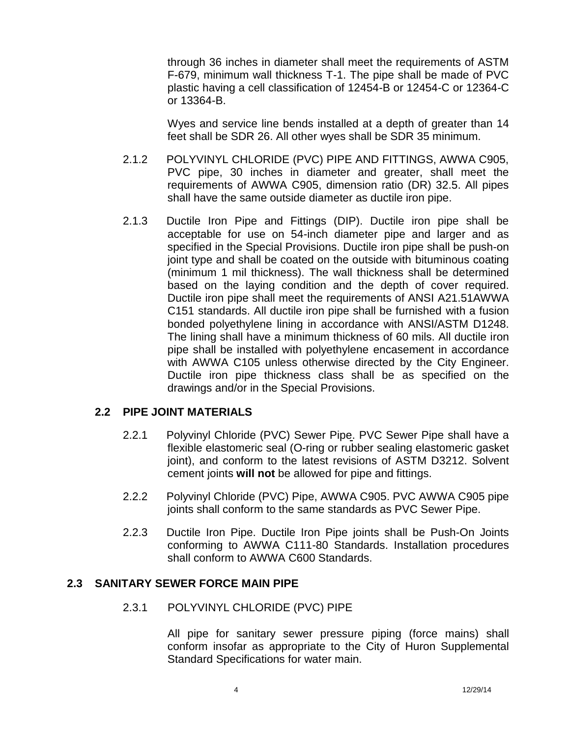through 36 inches in diameter shall meet the requirements of ASTM F-679, minimum wall thickness T-1. The pipe shall be made of PVC plastic having a cell classification of 12454-B or 12454-C or 12364-C or 13364-B.

Wyes and service line bends installed at a depth of greater than 14 feet shall be SDR 26. All other wyes shall be SDR 35 minimum.

- 2.1.2 POLYVINYL CHLORIDE (PVC) PIPE AND FITTINGS, AWWA C905, PVC pipe, 30 inches in diameter and greater, shall meet the requirements of AWWA C905, dimension ratio (DR) 32.5. All pipes shall have the same outside diameter as ductile iron pipe.
- 2.1.3 Ductile Iron Pipe and Fittings (DIP). Ductile iron pipe shall be acceptable for use on 54-inch diameter pipe and larger and as specified in the Special Provisions. Ductile iron pipe shall be push-on joint type and shall be coated on the outside with bituminous coating (minimum 1 mil thickness). The wall thickness shall be determined based on the laying condition and the depth of cover required. Ductile iron pipe shall meet the requirements of ANSI A21.51AWWA C151 standards. All ductile iron pipe shall be furnished with a fusion bonded polyethylene lining in accordance with ANSI/ASTM D1248. The lining shall have a minimum thickness of 60 mils. All ductile iron pipe shall be installed with polyethylene encasement in accordance with AWWA C105 unless otherwise directed by the City Engineer. Ductile iron pipe thickness class shall be as specified on the drawings and/or in the Special Provisions.

## **2.2 PIPE JOINT MATERIALS**

- 2.2.1 Polyvinyl Chloride (PVC) Sewer Pipe. PVC Sewer Pipe shall have a flexible elastomeric seal (O-ring or rubber sealing elastomeric gasket joint), and conform to the latest revisions of ASTM D3212. Solvent cement joints **will not** be allowed for pipe and fittings.
- 2.2.2 Polyvinyl Chloride (PVC) Pipe, AWWA C905. PVC AWWA C905 pipe joints shall conform to the same standards as PVC Sewer Pipe.
- 2.2.3 Ductile Iron Pipe. Ductile Iron Pipe joints shall be Push-On Joints conforming to AWWA C111-80 Standards. Installation procedures shall conform to AWWA C600 Standards.

## **2.3 SANITARY SEWER FORCE MAIN PIPE**

2.3.1 POLYVINYL CHLORIDE (PVC) PIPE

All pipe for sanitary sewer pressure piping (force mains) shall conform insofar as appropriate to the City of Huron Supplemental Standard Specifications for water main.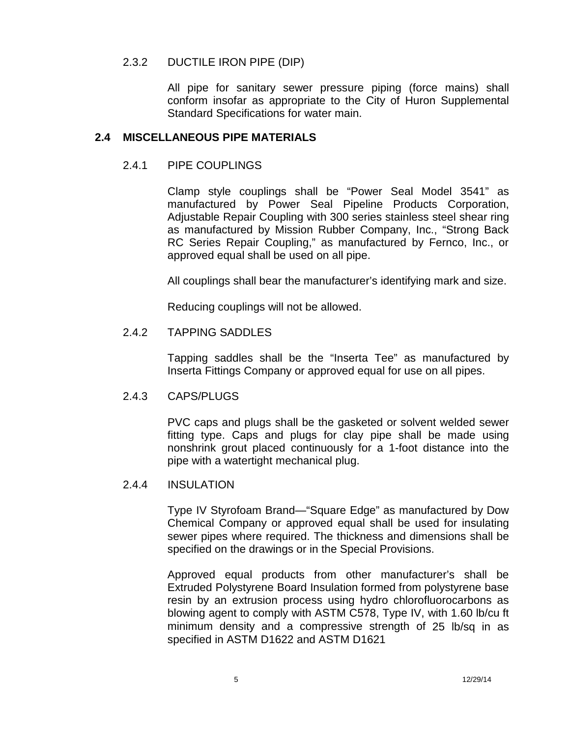#### 2.3.2 DUCTILE IRON PIPE (DIP)

All pipe for sanitary sewer pressure piping (force mains) shall conform insofar as appropriate to the City of Huron Supplemental Standard Specifications for water main.

#### **2.4 MISCELLANEOUS PIPE MATERIALS**

## 2.4.1 PIPE COUPLINGS

Clamp style couplings shall be "Power Seal Model 3541" as manufactured by Power Seal Pipeline Products Corporation, Adjustable Repair Coupling with 300 series stainless steel shear ring as manufactured by Mission Rubber Company, Inc., "Strong Back RC Series Repair Coupling," as manufactured by Fernco, Inc., or approved equal shall be used on all pipe.

All couplings shall bear the manufacturer's identifying mark and size.

Reducing couplings will not be allowed.

## 2.4.2 TAPPING SADDLES

Tapping saddles shall be the "Inserta Tee" as manufactured by Inserta Fittings Company or approved equal for use on all pipes.

#### 2.4.3 CAPS/PLUGS

PVC caps and plugs shall be the gasketed or solvent welded sewer fitting type. Caps and plugs for clay pipe shall be made using nonshrink grout placed continuously for a 1-foot distance into the pipe with a watertight mechanical plug.

#### 2.4.4 INSULATION

Type IV Styrofoam Brand—"Square Edge" as manufactured by Dow Chemical Company or approved equal shall be used for insulating sewer pipes where required. The thickness and dimensions shall be specified on the drawings or in the Special Provisions.

Approved equal products from other manufacturer's shall be Extruded Polystyrene Board Insulation formed from polystyrene base resin by an extrusion process using hydro chlorofluorocarbons as blowing agent to comply with ASTM C578, Type IV, with 1.60 lb/cu ft minimum density and a compressive strength of 25 lb/sq in as specified in ASTM D1622 and ASTM D1621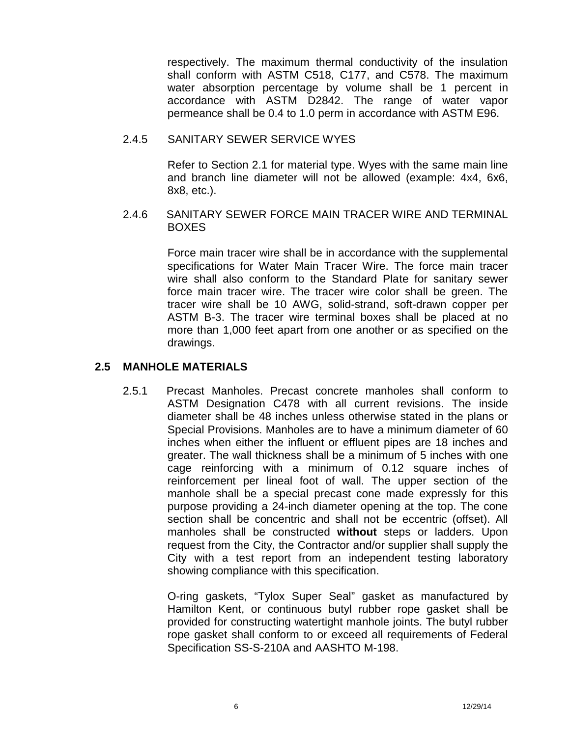respectively. The maximum thermal conductivity of the insulation shall conform with ASTM C518, C177, and C578. The maximum water absorption percentage by volume shall be 1 percent in accordance with ASTM D2842. The range of water vapor permeance shall be 0.4 to 1.0 perm in accordance with ASTM E96.

## 2.4.5 SANITARY SEWER SERVICE WYES

Refer to Section 2.1 for material type. Wyes with the same main line and branch line diameter will not be allowed (example: 4x4, 6x6, 8x8, etc.).

## 2.4.6 SANITARY SEWER FORCE MAIN TRACER WIRE AND TERMINAL BOXES

Force main tracer wire shall be in accordance with the supplemental specifications for Water Main Tracer Wire. The force main tracer wire shall also conform to the Standard Plate for sanitary sewer force main tracer wire. The tracer wire color shall be green. The tracer wire shall be 10 AWG, solid-strand, soft-drawn copper per ASTM B-3. The tracer wire terminal boxes shall be placed at no more than 1,000 feet apart from one another or as specified on the drawings.

## **2.5 MANHOLE MATERIALS**

2.5.1 Precast Manholes. Precast concrete manholes shall conform to ASTM Designation C478 with all current revisions. The inside diameter shall be 48 inches unless otherwise stated in the plans or Special Provisions. Manholes are to have a minimum diameter of 60 inches when either the influent or effluent pipes are 18 inches and greater. The wall thickness shall be a minimum of 5 inches with one cage reinforcing with a minimum of 0.12 square inches of reinforcement per lineal foot of wall. The upper section of the manhole shall be a special precast cone made expressly for this purpose providing a 24-inch diameter opening at the top. The cone section shall be concentric and shall not be eccentric (offset). All manholes shall be constructed **without** steps or ladders. Upon request from the City, the Contractor and/or supplier shall supply the City with a test report from an independent testing laboratory showing compliance with this specification.

> O-ring gaskets, "Tylox Super Seal" gasket as manufactured by Hamilton Kent, or continuous butyl rubber rope gasket shall be provided for constructing watertight manhole joints. The butyl rubber rope gasket shall conform to or exceed all requirements of Federal Specification SS-S-210A and AASHTO M-198.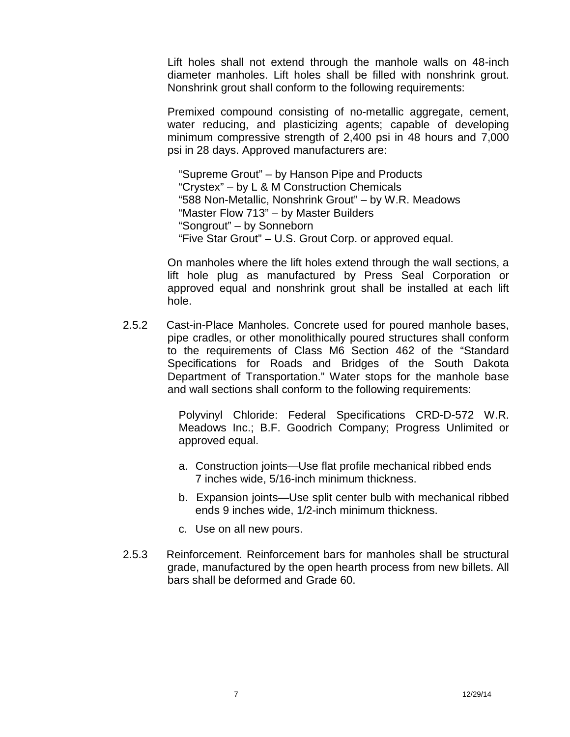Lift holes shall not extend through the manhole walls on 48-inch diameter manholes. Lift holes shall be filled with nonshrink grout. Nonshrink grout shall conform to the following requirements:

Premixed compound consisting of no-metallic aggregate, cement, water reducing, and plasticizing agents; capable of developing minimum compressive strength of 2,400 psi in 48 hours and 7,000 psi in 28 days. Approved manufacturers are:

"Supreme Grout" – by Hanson Pipe and Products "Crystex" – by L & M Construction Chemicals "588 Non-Metallic, Nonshrink Grout" – by W.R. Meadows "Master Flow 713" – by Master Builders "Songrout" – by Sonneborn "Five Star Grout" – U.S. Grout Corp. or approved equal.

On manholes where the lift holes extend through the wall sections, a lift hole plug as manufactured by Press Seal Corporation or approved equal and nonshrink grout shall be installed at each lift hole.

2.5.2 Cast-in-Place Manholes. Concrete used for poured manhole bases, pipe cradles, or other monolithically poured structures shall conform to the requirements of Class M6 Section 462 of the "Standard Specifications for Roads and Bridges of the South Dakota Department of Transportation." Water stops for the manhole base and wall sections shall conform to the following requirements:

> Polyvinyl Chloride: Federal Specifications CRD-D-572 W.R. Meadows Inc.; B.F. Goodrich Company; Progress Unlimited or approved equal.

- a. Construction joints—Use flat profile mechanical ribbed ends 7 inches wide, 5/16-inch minimum thickness.
- b. Expansion joints—Use split center bulb with mechanical ribbed ends 9 inches wide, 1/2-inch minimum thickness.
- c. Use on all new pours.
- 2.5.3 Reinforcement. Reinforcement bars for manholes shall be structural grade, manufactured by the open hearth process from new billets. All bars shall be deformed and Grade 60.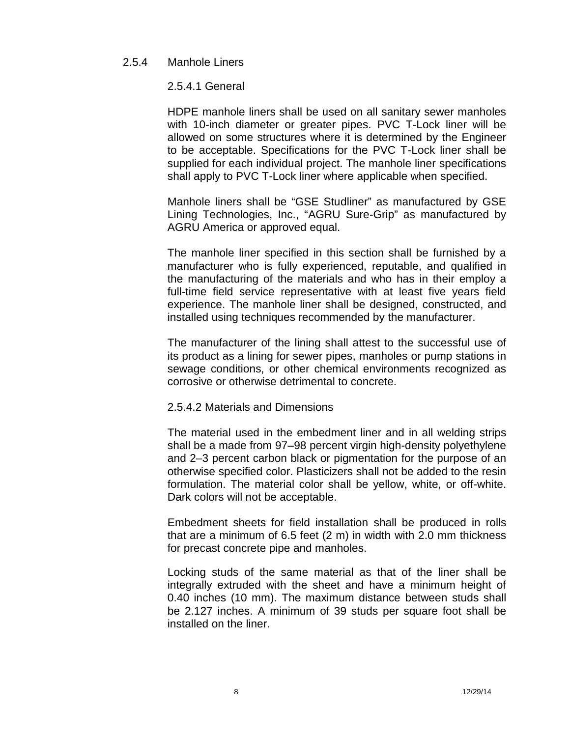#### 2.5.4 Manhole Liners

2.5.4.1 General

HDPE manhole liners shall be used on all sanitary sewer manholes with 10-inch diameter or greater pipes. PVC T-Lock liner will be allowed on some structures where it is determined by the Engineer to be acceptable. Specifications for the PVC T-Lock liner shall be supplied for each individual project. The manhole liner specifications shall apply to PVC T-Lock liner where applicable when specified.

Manhole liners shall be "GSE Studliner" as manufactured by GSE Lining Technologies, Inc., "AGRU Sure-Grip" as manufactured by AGRU America or approved equal.

The manhole liner specified in this section shall be furnished by a manufacturer who is fully experienced, reputable, and qualified in the manufacturing of the materials and who has in their employ a full-time field service representative with at least five years field experience. The manhole liner shall be designed, constructed, and installed using techniques recommended by the manufacturer.

The manufacturer of the lining shall attest to the successful use of its product as a lining for sewer pipes, manholes or pump stations in sewage conditions, or other chemical environments recognized as corrosive or otherwise detrimental to concrete.

#### 2.5.4.2 Materials and Dimensions

The material used in the embedment liner and in all welding strips shall be a made from 97–98 percent virgin high-density polyethylene and 2–3 percent carbon black or pigmentation for the purpose of an otherwise specified color. Plasticizers shall not be added to the resin formulation. The material color shall be yellow, white, or off-white. Dark colors will not be acceptable.

Embedment sheets for field installation shall be produced in rolls that are a minimum of 6.5 feet (2 m) in width with 2.0 mm thickness for precast concrete pipe and manholes.

Locking studs of the same material as that of the liner shall be integrally extruded with the sheet and have a minimum height of 0.40 inches (10 mm). The maximum distance between studs shall be 2.127 inches. A minimum of 39 studs per square foot shall be installed on the liner.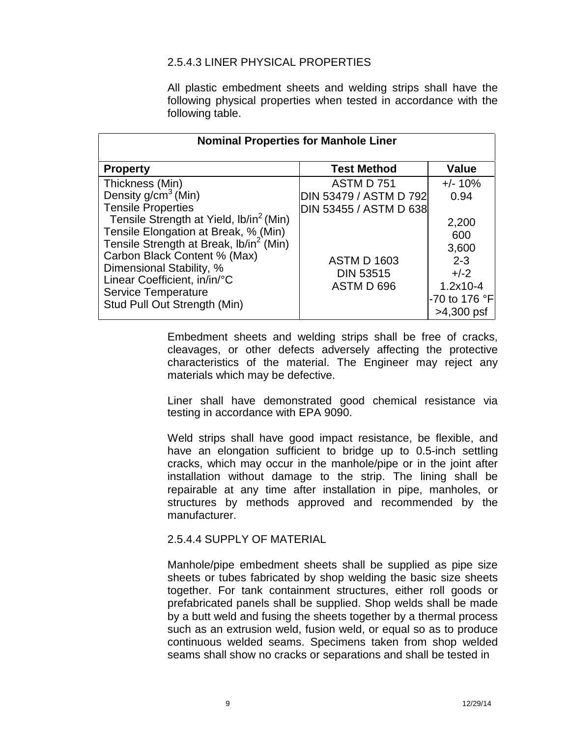## 2.5.4.3 LINER PHYSICAL PROPERTIES

All plastic embedment sheets and welding strips shall have the following physical properties when tested in accordance with the following table.

| <b>Nominal Properties for Manhole Liner</b>                |                        |               |  |
|------------------------------------------------------------|------------------------|---------------|--|
| <b>Property</b>                                            | <b>Test Method</b>     | <b>Value</b>  |  |
| Thickness (Min)                                            | ASTM D 751             | $+/- 10%$     |  |
| Density $g/cm3$ (Min)                                      | DIN 53479 / ASTM D 792 | 0.94          |  |
| <b>Tensile Properties</b>                                  | DIN 53455 / ASTM D 638 |               |  |
| Tensile Strength at Yield, lb/in <sup>2</sup> (Min)        |                        | 2,200         |  |
| Tensile Elongation at Break, % (Min)                       |                        | 600           |  |
| Tensile Strength at Break, lb/in <sup>2</sup> (Min)        |                        | 3,600         |  |
| Carbon Black Content % (Max)                               | <b>ASTM D 1603</b>     | $2 - 3$       |  |
| Dimensional Stability, %                                   | <b>DIN 53515</b>       | $+/-2$        |  |
| Linear Coefficient, in/in/°C                               | ASTM D 696             | $1.2x10 - 4$  |  |
| <b>Service Temperature</b><br>Stud Pull Out Strength (Min) |                        | -70 to 176 °F |  |
|                                                            |                        | $>4,300$ psf  |  |

Embedment sheets and welding strips shall be free of cracks, cleavages, or other defects adversely affecting the protective characteristics of the material. The Engineer may reject any materials which may be defective.

Liner shall have demonstrated good chemical resistance via testing in accordance with EPA 9090.

Weld strips shall have good impact resistance, be flexible, and have an elongation sufficient to bridge up to 0.5-inch settling cracks, which may occur in the manhole/pipe or in the joint after installation without damage to the strip. The lining shall be repairable at any time after installation in pipe, manholes, or structures by methods approved and recommended by the manufacturer.

## 2.5.4.4 SUPPLY OF MATERIAL

Manhole/pipe embedment sheets shall be supplied as pipe size sheets or tubes fabricated by shop welding the basic size sheets together. For tank containment structures, either roll goods or prefabricated panels shall be supplied. Shop welds shall be made by a butt weld and fusing the sheets together by a thermal process such as an extrusion weld, fusion weld, or equal so as to produce continuous welded seams. Specimens taken from shop welded seams shall show no cracks or separations and shall be tested in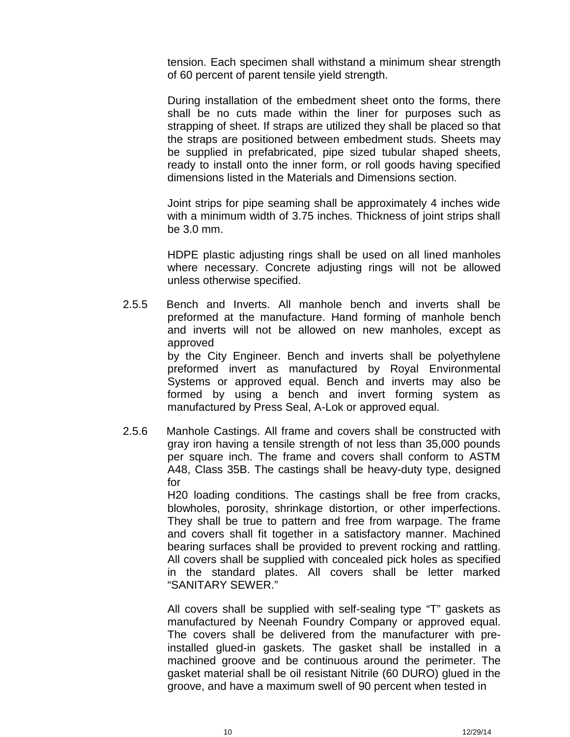tension. Each specimen shall withstand a minimum shear strength of 60 percent of parent tensile yield strength.

During installation of the embedment sheet onto the forms, there shall be no cuts made within the liner for purposes such as strapping of sheet. If straps are utilized they shall be placed so that the straps are positioned between embedment studs. Sheets may be supplied in prefabricated, pipe sized tubular shaped sheets, ready to install onto the inner form, or roll goods having specified dimensions listed in the Materials and Dimensions section.

Joint strips for pipe seaming shall be approximately 4 inches wide with a minimum width of 3.75 inches. Thickness of joint strips shall be 3.0 mm.

HDPE plastic adjusting rings shall be used on all lined manholes where necessary. Concrete adjusting rings will not be allowed unless otherwise specified.

- 2.5.5 Bench and Inverts. All manhole bench and inverts shall be preformed at the manufacture. Hand forming of manhole bench and inverts will not be allowed on new manholes, except as approved by the City Engineer. Bench and inverts shall be polyethylene preformed invert as manufactured by Royal Environmental Systems or approved equal. Bench and inverts may also be formed by using a bench and invert forming system as manufactured by Press Seal, A-Lok or approved equal.
- 2.5.6 Manhole Castings. All frame and covers shall be constructed with gray iron having a tensile strength of not less than 35,000 pounds per square inch. The frame and covers shall conform to ASTM A48, Class 35B. The castings shall be heavy-duty type, designed for

H20 loading conditions. The castings shall be free from cracks, blowholes, porosity, shrinkage distortion, or other imperfections. They shall be true to pattern and free from warpage. The frame and covers shall fit together in a satisfactory manner. Machined bearing surfaces shall be provided to prevent rocking and rattling. All covers shall be supplied with concealed pick holes as specified in the standard plates. All covers shall be letter marked "SANITARY SEWER."

All covers shall be supplied with self-sealing type "T" gaskets as manufactured by Neenah Foundry Company or approved equal. The covers shall be delivered from the manufacturer with preinstalled glued-in gaskets. The gasket shall be installed in a machined groove and be continuous around the perimeter. The gasket material shall be oil resistant Nitrile (60 DURO) glued in the groove, and have a maximum swell of 90 percent when tested in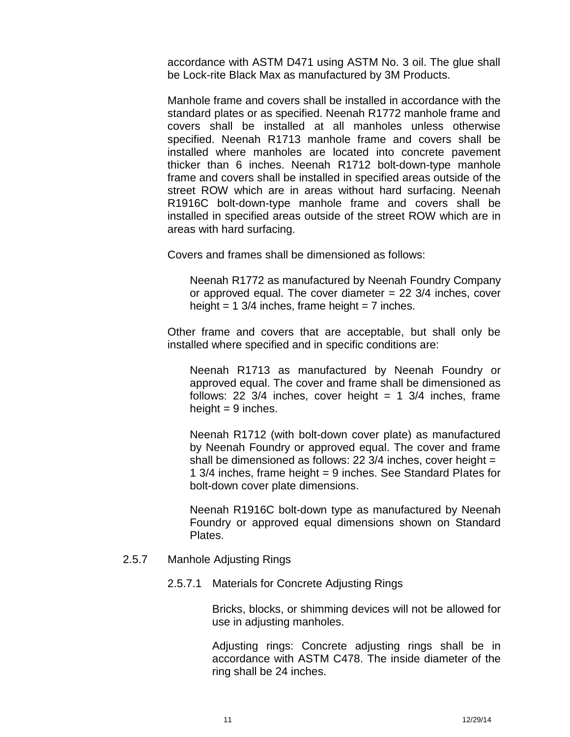accordance with ASTM D471 using ASTM No. 3 oil. The glue shall be Lock-rite Black Max as manufactured by 3M Products.

Manhole frame and covers shall be installed in accordance with the standard plates or as specified. Neenah R1772 manhole frame and covers shall be installed at all manholes unless otherwise specified. Neenah R1713 manhole frame and covers shall be installed where manholes are located into concrete pavement thicker than 6 inches. Neenah R1712 bolt-down-type manhole frame and covers shall be installed in specified areas outside of the street ROW which are in areas without hard surfacing. Neenah R1916C bolt-down-type manhole frame and covers shall be installed in specified areas outside of the street ROW which are in areas with hard surfacing.

Covers and frames shall be dimensioned as follows:

Neenah R1772 as manufactured by Neenah Foundry Company or approved equal. The cover diameter  $= 22$  3/4 inches, cover height = 1 3/4 inches, frame height = 7 inches.

Other frame and covers that are acceptable, but shall only be installed where specified and in specific conditions are:

Neenah R1713 as manufactured by Neenah Foundry or approved equal. The cover and frame shall be dimensioned as follows: 22  $3/4$  inches, cover height = 1  $3/4$  inches, frame height  $= 9$  inches.

Neenah R1712 (with bolt-down cover plate) as manufactured by Neenah Foundry or approved equal. The cover and frame shall be dimensioned as follows: 22  $3/4$  inches, cover height = 1 3/4 inches, frame height = 9 inches. See Standard Plates for bolt-down cover plate dimensions.

Neenah R1916C bolt-down type as manufactured by Neenah Foundry or approved equal dimensions shown on Standard Plates.

## 2.5.7 Manhole Adjusting Rings

2.5.7.1 Materials for Concrete Adjusting Rings

Bricks, blocks, or shimming devices will not be allowed for use in adjusting manholes.

Adjusting rings: Concrete adjusting rings shall be in accordance with ASTM C478. The inside diameter of the ring shall be 24 inches.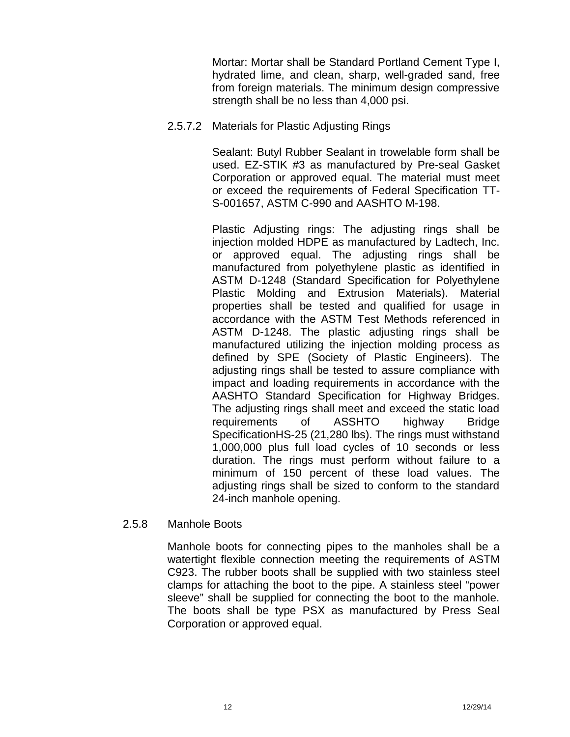Mortar: Mortar shall be Standard Portland Cement Type I, hydrated lime, and clean, sharp, well-graded sand, free from foreign materials. The minimum design compressive strength shall be no less than 4,000 psi.

2.5.7.2 Materials for Plastic Adjusting Rings

Sealant: Butyl Rubber Sealant in trowelable form shall be used. EZ-STIK #3 as manufactured by Pre-seal Gasket Corporation or approved equal. The material must meet or exceed the requirements of Federal Specification TT- S-001657, ASTM C-990 and AASHTO M-198.

Plastic Adjusting rings: The adjusting rings shall be injection molded HDPE as manufactured by Ladtech, Inc. or approved equal. The adjusting rings shall be manufactured from polyethylene plastic as identified in ASTM D-1248 (Standard Specification for Polyethylene Plastic Molding and Extrusion Materials). Material properties shall be tested and qualified for usage in accordance with the ASTM Test Methods referenced in ASTM D-1248. The plastic adjusting rings shall be manufactured utilizing the injection molding process as defined by SPE (Society of Plastic Engineers). The adjusting rings shall be tested to assure compliance with impact and loading requirements in accordance with the AASHTO Standard Specification for Highway Bridges. The adjusting rings shall meet and exceed the static load requirements of ASSHTO highway Bridge SpecificationHS-25 (21,280 lbs). The rings must withstand 1,000,000 plus full load cycles of 10 seconds or less duration. The rings must perform without failure to a minimum of 150 percent of these load values. The adjusting rings shall be sized to conform to the standard 24-inch manhole opening.

2.5.8 Manhole Boots

Manhole boots for connecting pipes to the manholes shall be a watertight flexible connection meeting the requirements of ASTM C923. The rubber boots shall be supplied with two stainless steel clamps for attaching the boot to the pipe. A stainless steel "power sleeve" shall be supplied for connecting the boot to the manhole. The boots shall be type PSX as manufactured by Press Seal Corporation or approved equal.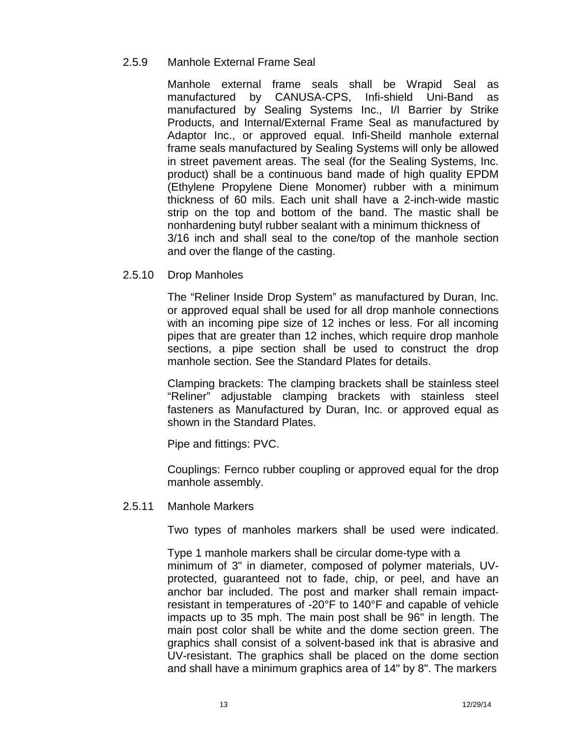## 2.5.9 Manhole External Frame Seal

Manhole external frame seals shall be Wrapid Seal as manufactured by CANUSA-CPS, Infi-shield Uni-Band as manufactured by Sealing Systems Inc., I/I Barrier by Strike Products, and Internal/External Frame Seal as manufactured by Adaptor Inc., or approved equal. Infi-Sheild manhole external frame seals manufactured by Sealing Systems will only be allowed in street pavement areas. The seal (for the Sealing Systems, Inc. product) shall be a continuous band made of high quality EPDM (Ethylene Propylene Diene Monomer) rubber with a minimum thickness of 60 mils. Each unit shall have a 2-inch-wide mastic strip on the top and bottom of the band. The mastic shall be nonhardening butyl rubber sealant with a minimum thickness of 3/16 inch and shall seal to the cone/top of the manhole section and over the flange of the casting.

2.5.10 Drop Manholes

The "Reliner Inside Drop System" as manufactured by Duran, Inc. or approved equal shall be used for all drop manhole connections with an incoming pipe size of 12 inches or less. For all incoming pipes that are greater than 12 inches, which require drop manhole sections, a pipe section shall be used to construct the drop manhole section. See the Standard Plates for details.

Clamping brackets: The clamping brackets shall be stainless steel "Reliner" adjustable clamping brackets with stainless steel fasteners as Manufactured by Duran, Inc. or approved equal as shown in the Standard Plates.

Pipe and fittings: PVC.

Couplings: Fernco rubber coupling or approved equal for the drop manhole assembly.

#### 2.5.11 Manhole Markers

Two types of manholes markers shall be used were indicated.

Type 1 manhole markers shall be circular dome-type with a minimum of 3" in diameter, composed of polymer materials, UV protected, guaranteed not to fade, chip, or peel, and have an anchor bar included. The post and marker shall remain impactresistant in temperatures of -20°F to 140°F and capable of vehicle impacts up to 35 mph. The main post shall be 96" in length. The main post color shall be white and the dome section green. The graphics shall consist of a solvent-based ink that is abrasive and UV-resistant. The graphics shall be placed on the dome section and shall have a minimum graphics area of 14" by 8". The markers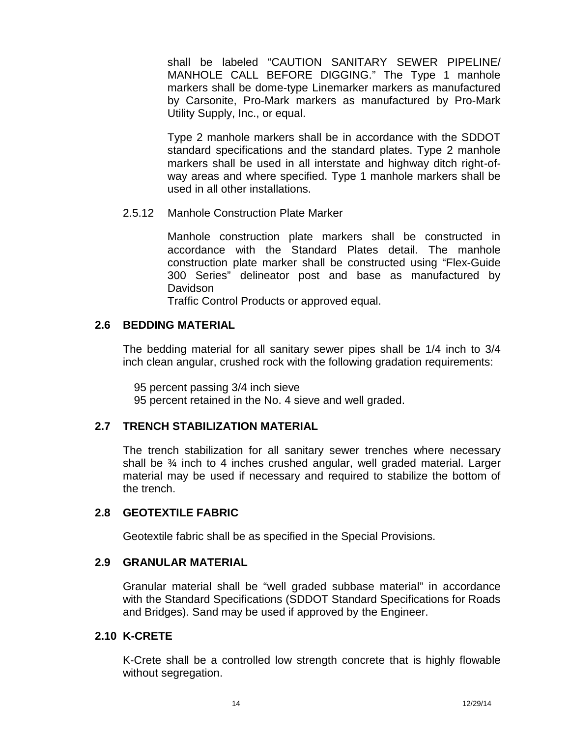shall be labeled "CAUTION SANITARY SEWER PIPELINE/ MANHOLE CALL BEFORE DIGGING." The Type 1 manhole markers shall be dome-type Linemarker markers as manufactured by Carsonite, Pro-Mark markers as manufactured by Pro-Mark Utility Supply, Inc., or equal.

Type 2 manhole markers shall be in accordance with the SDDOT standard specifications and the standard plates. Type 2 manhole markers shall be used in all interstate and highway ditch right-of way areas and where specified. Type 1 manhole markers shall be used in all other installations.

2.5.12 Manhole Construction Plate Marker

Manhole construction plate markers shall be constructed in accordance with the Standard Plates detail. The manhole construction plate marker shall be constructed using "Flex-Guide 300 Series" delineator post and base as manufactured by Davidson

Traffic Control Products or approved equal.

## **2.6 BEDDING MATERIAL**

The bedding material for all sanitary sewer pipes shall be 1/4 inch to 3/4 inch clean angular, crushed rock with the following gradation requirements:

95 percent passing 3/4 inch sieve 95 percent retained in the No. 4 sieve and well graded.

## **2.7 TRENCH STABILIZATION MATERIAL**

The trench stabilization for all sanitary sewer trenches where necessary shall be  $\frac{3}{4}$  inch to 4 inches crushed angular, well graded material. Larger material may be used if necessary and required to stabilize the bottom of the trench.

## **2.8 GEOTEXTILE FABRIC**

Geotextile fabric shall be as specified in the Special Provisions.

## **2.9 GRANULAR MATERIAL**

Granular material shall be "well graded subbase material" in accordance with the Standard Specifications (SDDOT Standard Specifications for Roads and Bridges). Sand may be used if approved by the Engineer.

## **2.10 K-CRETE**

K-Crete shall be a controlled low strength concrete that is highly flowable without segregation.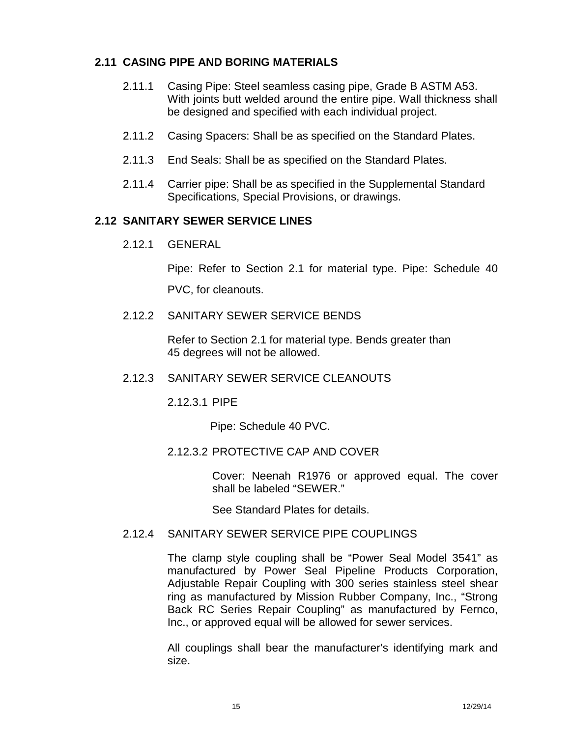## **2.11 CASING PIPE AND BORING MATERIALS**

- 2.11.1 Casing Pipe: Steel seamless casing pipe, Grade B ASTM A53. With joints butt welded around the entire pipe. Wall thickness shall be designed and specified with each individual project.
- 2.11.2 Casing Spacers: Shall be as specified on the Standard Plates.
- 2.11.3 End Seals: Shall be as specified on the Standard Plates.
- 2.11.4 Carrier pipe: Shall be as specified in the Supplemental Standard Specifications, Special Provisions, or drawings.

## **2.12 SANITARY SEWER SERVICE LINES**

2.12.1 GENERAL

Pipe: Refer to Section 2.1 for material type. Pipe: Schedule 40 PVC, for cleanouts.

2.12.2 SANITARY SEWER SERVICE BENDS

Refer to Section 2.1 for material type. Bends greater than 45 degrees will not be allowed.

2.12.3 SANITARY SEWER SERVICE CLEANOUTS

2.12.3.1 PIPE

Pipe: Schedule 40 PVC.

## 2.12.3.2 PROTECTIVE CAP AND COVER

Cover: Neenah R1976 or approved equal. The cover shall be labeled "SEWER."

See Standard Plates for details.

## 2.12.4 SANITARY SEWER SERVICE PIPE COUPLINGS

The clamp style coupling shall be "Power Seal Model 3541" as manufactured by Power Seal Pipeline Products Corporation, Adjustable Repair Coupling with 300 series stainless steel shear ring as manufactured by Mission Rubber Company, Inc., "Strong Back RC Series Repair Coupling" as manufactured by Fernco, Inc., or approved equal will be allowed for sewer services.

All couplings shall bear the manufacturer's identifying mark and size.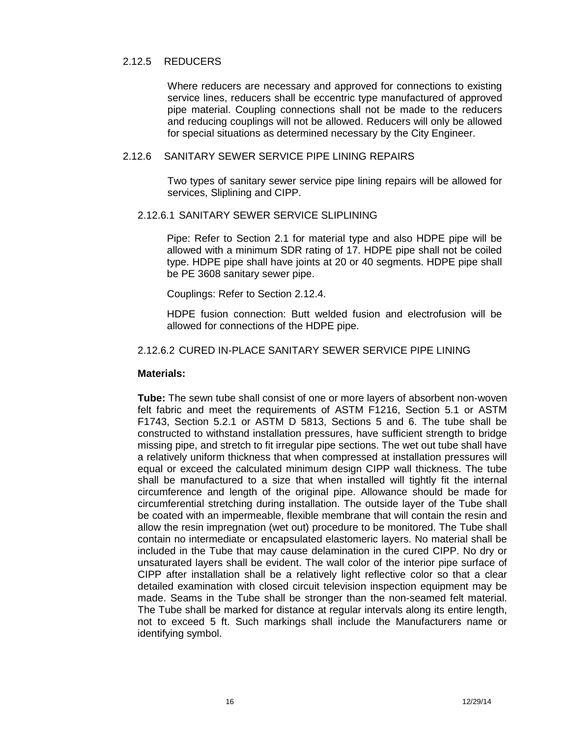#### 2.12.5 REDUCERS

Where reducers are necessary and approved for connections to existing service lines, reducers shall be eccentric type manufactured of approved pipe material. Coupling connections shall not be made to the reducers and reducing couplings will not be allowed. Reducers will only be allowed for special situations as determined necessary by the City Engineer.

#### 2.12.6 SANITARY SEWER SERVICE PIPE LINING REPAIRS

Two types of sanitary sewer service pipe lining repairs will be allowed for services, Sliplining and CIPP.

#### 2.12.6.1 SANITARY SEWER SERVICE SLIPLINING

Pipe: Refer to Section 2.1 for material type and also HDPE pipe will be allowed with a minimum SDR rating of 17. HDPE pipe shall not be coiled type. HDPE pipe shall have joints at 20 or 40 segments. HDPE pipe shall be PE 3608 sanitary sewer pipe.

Couplings: Refer to Section 2.12.4.

HDPE fusion connection: Butt welded fusion and electrofusion will be allowed for connections of the HDPE pipe.

#### 2.12.6.2 CURED IN-PLACE SANITARY SEWER SERVICE PIPE LINING

#### **Materials:**

**Tube:** The sewn tube shall consist of one or more layers of absorbent non-woven felt fabric and meet the requirements of ASTM F1216, Section 5.1 or ASTM F1743, Section 5.2.1 or ASTM D 5813, Sections 5 and 6. The tube shall be constructed to withstand installation pressures, have sufficient strength to bridge missing pipe, and stretch to fit irregular pipe sections. The wet out tube shall have a relatively uniform thickness that when compressed at installation pressures will equal or exceed the calculated minimum design CIPP wall thickness. The tube shall be manufactured to a size that when installed will tightly fit the internal circumference and length of the original pipe. Allowance should be made for circumferential stretching during installation. The outside layer of the Tube shall be coated with an impermeable, flexible membrane that will contain the resin and allow the resin impregnation (wet out) procedure to be monitored. The Tube shall contain no intermediate or encapsulated elastomeric layers. No material shall be included in the Tube that may cause delamination in the cured CIPP. No dry or unsaturated layers shall be evident. The wall color of the interior pipe surface of CIPP after installation shall be a relatively light reflective color so that a clear detailed examination with closed circuit television inspection equipment may be made. Seams in the Tube shall be stronger than the non-seamed felt material. The Tube shall be marked for distance at regular intervals along its entire length, not to exceed 5 ft. Such markings shall include the Manufacturers name or identifying symbol.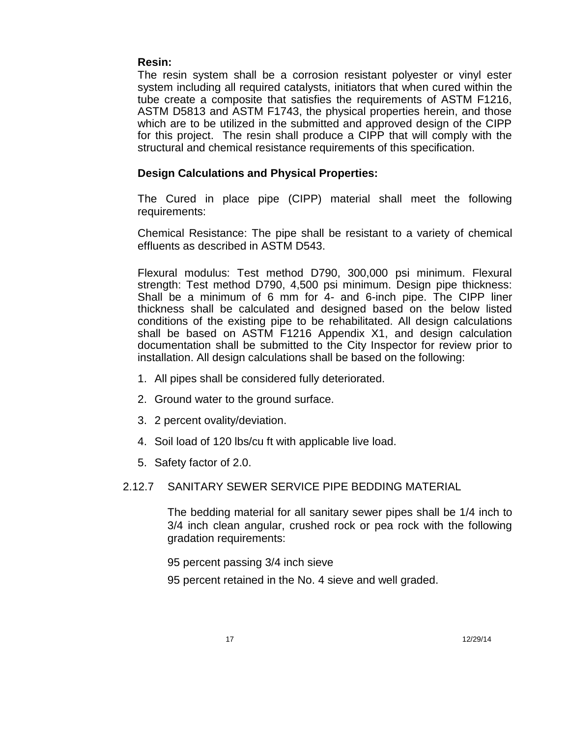## **Resin:**

The resin system shall be a corrosion resistant polyester or vinyl ester system including all required catalysts, initiators that when cured within the tube create a composite that satisfies the requirements of ASTM F1216, ASTM D5813 and ASTM F1743, the physical properties herein, and those which are to be utilized in the submitted and approved design of the CIPP for this project. The resin shall produce a CIPP that will comply with the structural and chemical resistance requirements of this specification.

## **Design Calculations and Physical Properties:**

The Cured in place pipe (CIPP) material shall meet the following requirements:

Chemical Resistance: The pipe shall be resistant to a variety of chemical effluents as described in ASTM D543.

Flexural modulus: Test method D790, 300,000 psi minimum. Flexural strength: Test method D790, 4,500 psi minimum. Design pipe thickness: Shall be a minimum of 6 mm for 4- and 6-inch pipe. The CIPP liner thickness shall be calculated and designed based on the below listed conditions of the existing pipe to be rehabilitated. All design calculations shall be based on ASTM F1216 Appendix X1, and design calculation documentation shall be submitted to the City Inspector for review prior to installation. All design calculations shall be based on the following:

- 1. All pipes shall be considered fully deteriorated.
- 2. Ground water to the ground surface.
- 3. 2 percent ovality/deviation.
- 4. Soil load of 120 lbs/cu ft with applicable live load.
- 5. Safety factor of 2.0.

## 2.12.7 SANITARY SEWER SERVICE PIPE BEDDING MATERIAL

The bedding material for all sanitary sewer pipes shall be 1/4 inch to 3/4 inch clean angular, crushed rock or pea rock with the following gradation requirements:

95 percent passing 3/4 inch sieve

95 percent retained in the No. 4 sieve and well graded.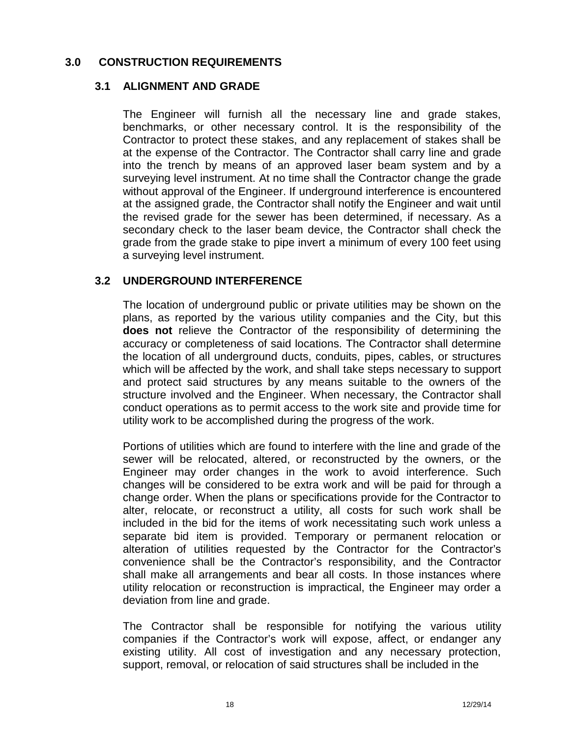## **3.0 CONSTRUCTION REQUIREMENTS**

## **3.1 ALIGNMENT AND GRADE**

The Engineer will furnish all the necessary line and grade stakes, benchmarks, or other necessary control. It is the responsibility of the Contractor to protect these stakes, and any replacement of stakes shall be at the expense of the Contractor. The Contractor shall carry line and grade into the trench by means of an approved laser beam system and by a surveying level instrument. At no time shall the Contractor change the grade without approval of the Engineer. If underground interference is encountered at the assigned grade, the Contractor shall notify the Engineer and wait until the revised grade for the sewer has been determined, if necessary. As a secondary check to the laser beam device, the Contractor shall check the grade from the grade stake to pipe invert a minimum of every 100 feet using a surveying level instrument.

## **3.2 UNDERGROUND INTERFERENCE**

The location of underground public or private utilities may be shown on the plans, as reported by the various utility companies and the City, but this **does not** relieve the Contractor of the responsibility of determining the accuracy or completeness of said locations. The Contractor shall determine the location of all underground ducts, conduits, pipes, cables, or structures which will be affected by the work, and shall take steps necessary to support and protect said structures by any means suitable to the owners of the structure involved and the Engineer. When necessary, the Contractor shall conduct operations as to permit access to the work site and provide time for utility work to be accomplished during the progress of the work.

Portions of utilities which are found to interfere with the line and grade of the sewer will be relocated, altered, or reconstructed by the owners, or the Engineer may order changes in the work to avoid interference. Such changes will be considered to be extra work and will be paid for through a change order. When the plans orspecifications provide for the Contractor to alter, relocate, or reconstruct a utility, all costs for such work shall be included in the bid for the items of work necessitating such work unless a separate bid item is provided. Temporary or permanent relocation or alteration of utilities requested by the Contractor for the Contractor's convenience shall be the Contractor's responsibility, and the Contractor shall make all arrangements and bear all costs. In those instances where utility relocation or reconstruction is impractical, the Engineer may order a deviation from line and grade.

The Contractor shall be responsible for notifying the various utility companies if the Contractor's work will expose, affect, or endanger any existing utility. All cost of investigation and any necessary protection, support, removal, or relocation of said structures shall be included in the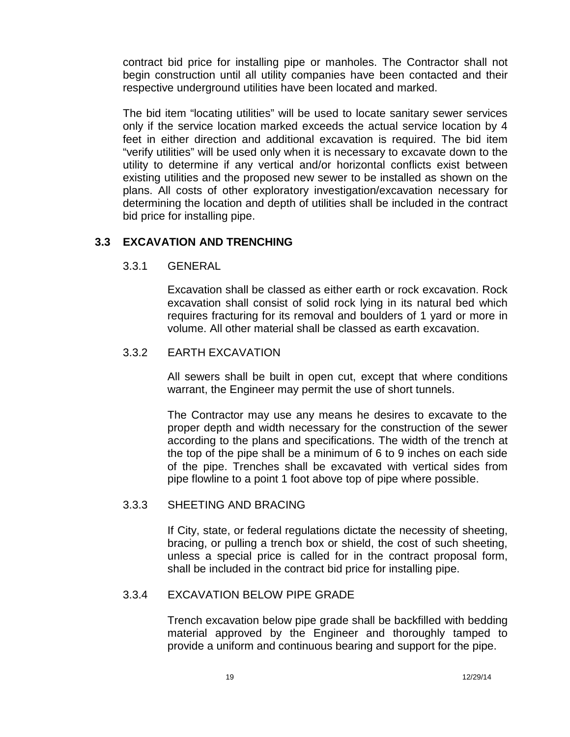contract bid price for installing pipe or manholes. The Contractor shall not begin construction until all utility companies have been contacted and their respective underground utilities have been located and marked.

The bid item "locating utilities" will be used to locate sanitary sewer services only if the service location marked exceeds the actual service location by 4 feet in either direction and additional excavation is required. The bid item "verify utilities" will be used only when it is necessary to excavate down to the utility to determine if any vertical and/or horizontal conflicts exist between existing utilities and the proposed new sewer to be installed as shown on the plans. All costs of other exploratory investigation/excavation necessary for determining the location and depth of utilities shall be included in the contract bid price for installing pipe.

## **3.3 EXCAVATION AND TRENCHING**

## 3.3.1 GENERAL

Excavation shall be classed as either earth or rock excavation. Rock excavation shall consist of solid rock lying in its natural bed which requires fracturing for its removal and boulders of 1 yard or more in volume. All other material shall be classed as earth excavation.

## 3.3.2 EARTH EXCAVATION

All sewers shall be built in open cut, except that where conditions warrant, the Engineer may permit the use of short tunnels.

The Contractor may use any means he desires to excavate to the proper depth and width necessary for the construction of the sewer according to the plans and specifications. The width of the trench at the top of the pipe shall be a minimum of 6 to 9 inches on each side of the pipe. Trenches shall be excavated with vertical sides from pipe flowline to a point 1 foot above top of pipe where possible.

## 3.3.3 SHEETING AND BRACING

If City, state, or federal regulations dictate the necessity of sheeting, bracing, or pulling a trench box or shield, the cost of such sheeting, unless a special price is called for in the contract proposal form, shall be included in the contract bid price for installing pipe.

## 3.3.4 EXCAVATION BELOW PIPE GRADE

Trench excavation below pipe grade shall be backfilled with bedding material approved by the Engineer and thoroughly tamped to provide a uniform and continuous bearing and support for the pipe.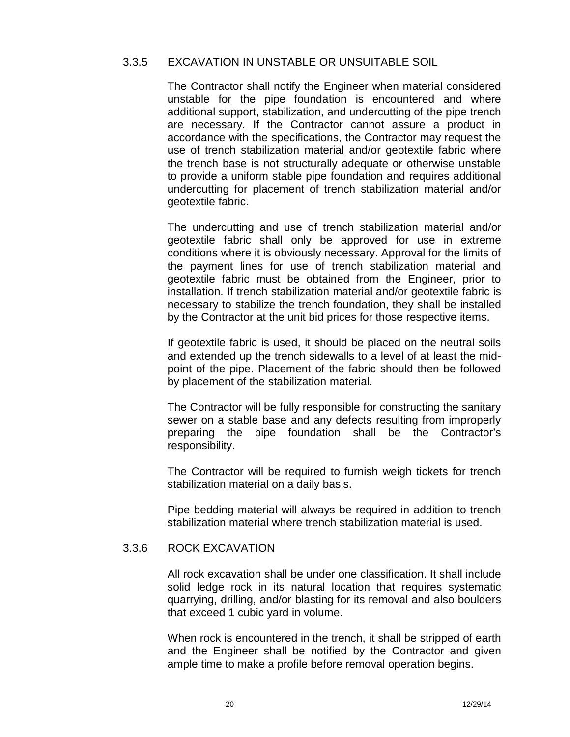#### 3.3.5 EXCAVATION IN UNSTABLE OR UNSUITABLE SOIL

The Contractor shall notify the Engineer when material considered unstable for the pipe foundation is encountered and where additional support, stabilization, and undercutting of the pipe trench are necessary. If the Contractor cannot assure a product in accordance with the specifications, the Contractor may request the use of trench stabilization material and/or geotextile fabric where the trench base is not structurally adequate or otherwise unstable to provide a uniform stable pipe foundation and requires additional undercutting for placement of trench stabilization material and/or geotextile fabric.

The undercutting and use of trench stabilization material and/or geotextile fabric shall only be approved for use in extreme conditions where it is obviously necessary. Approval for the limits of the payment lines for use of trench stabilization material and geotextile fabric must be obtained from the Engineer, prior to installation. If trench stabilization material and/or geotextile fabric is necessary to stabilize the trench foundation, they shall be installed by the Contractor at the unit bid prices for those respective items.

If geotextile fabric is used, it should be placed on the neutral soils and extended up the trench sidewalls to a level of at least the mid point of the pipe. Placement of the fabric should then be followed by placement of the stabilization material.

The Contractor will be fully responsible for constructing the sanitary sewer on a stable base and any defects resulting from improperly preparing the pipe foundation shall be the Contractor's responsibility.

The Contractor will be required to furnish weigh tickets for trench stabilization material on a daily basis.

Pipe bedding material will always be required in addition to trench stabilization material where trench stabilization material is used.

#### 3.3.6 ROCK EXCAVATION

All rock excavation shall be under one classification. It shall include solid ledge rock in its natural location that requires systematic quarrying, drilling, and/or blasting for its removal and also boulders that exceed 1 cubic yard in volume.

When rock is encountered in the trench, it shall be stripped of earth and the Engineer shall be notified by the Contractor and given ample time to make a profile before removal operation begins.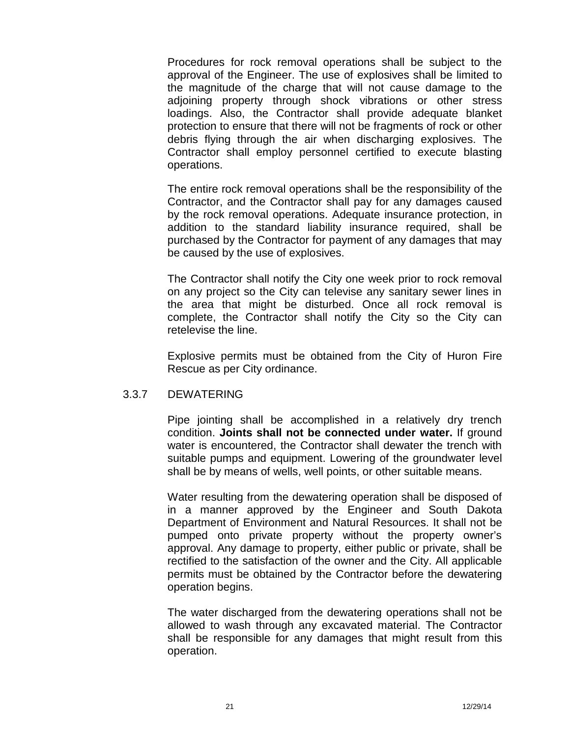Procedures for rock removal operations shall be subject to the approval of the Engineer. The use of explosives shall be limited to the magnitude of the charge that will not cause damage to the adjoining property through shock vibrations or other stress loadings. Also, the Contractor shall provide adequate blanket protection to ensure that there will not be fragments of rock or other debris flying through the air when discharging explosives. The Contractor shall employ personnel certified to execute blasting operations.

The entire rock removal operations shall be the responsibility of the Contractor, and the Contractor shall pay for any damages caused by the rock removal operations. Adequate insurance protection, in addition to the standard liability insurance required, shall be purchased by the Contractor for payment of any damages that may be caused by the use of explosives.

The Contractor shall notify the City one week prior to rock removal on any project so the City can televise any sanitary sewer lines in the area that might be disturbed. Once all rock removal is complete, the Contractor shall notify the City so the City can retelevise the line.

Explosive permits must be obtained from the City of Huron Fire Rescue as per City ordinance.

## 3.3.7 DEWATERING

Pipe jointing shall be accomplished in a relatively dry trench condition. **Joints shall not be connected under water.** If ground water is encountered, the Contractor shall dewater the trench with suitable pumps and equipment. Lowering of the groundwater level shall be by means of wells, well points, or other suitable means.

Water resulting from the dewatering operation shall be disposed of in a manner approved by the Engineer and South Dakota Department of Environment and Natural Resources. It shall not be pumped onto private property without the property owner's approval. Any damage to property, either public or private, shall be rectified to the satisfaction of the owner and the City. All applicable permits must be obtained by the Contractor before the dewatering operation begins.

The water discharged from the dewatering operations shall not be allowed to wash through any excavated material. The Contractor shall be responsible for any damages that might result from this operation.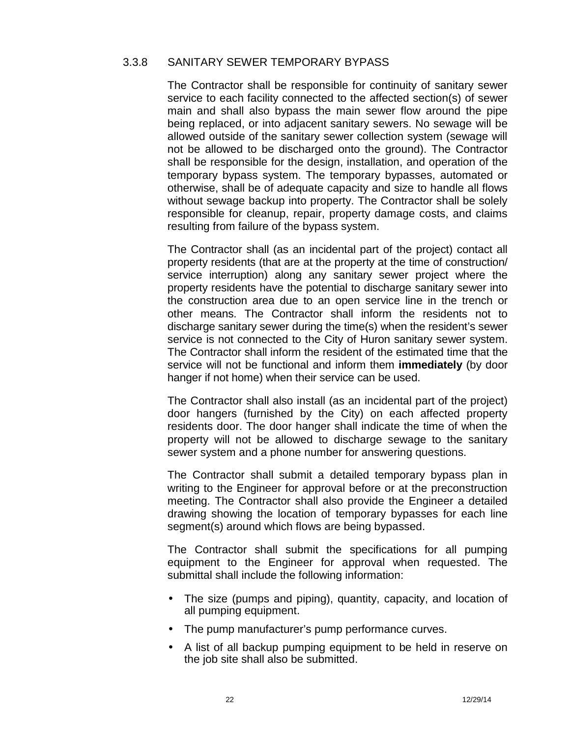#### 3.3.8 SANITARY SEWER TEMPORARY BYPASS

The Contractor shall be responsible for continuity of sanitary sewer service to each facility connected to the affected section(s) of sewer main and shall also bypass the main sewer flow around the pipe being replaced, or into adjacent sanitary sewers. No sewage will be allowed outside of the sanitary sewer collection system (sewage will not be allowed to be discharged onto the ground). The Contractor shall be responsible for the design, installation, and operation of the temporary bypass system. The temporary bypasses, automated or otherwise, shall be of adequate capacity and size to handle all flows without sewage backup into property. The Contractor shall be solely responsible for cleanup, repair, property damage costs, and claims resulting from failure of the bypass system.

The Contractor shall (as an incidental part of the project) contact all property residents (that are at the property at the time of construction/ service interruption) along any sanitary sewer project where the property residents have the potential to discharge sanitary sewer into the construction area due to an open service line in the trench or other means. The Contractor shall inform the residents not to discharge sanitary sewer during the time(s) when the resident's sewer service is not connected to the City of Huron sanitary sewer system. The Contractor shall inform the resident of the estimated time that the service will not be functional and inform them **immediately** (by door hanger if not home) when their service can be used.

The Contractor shall also install (as an incidental part of the project) door hangers (furnished by the City) on each affected property residents door. The door hanger shall indicate the time of when the property will not be allowed to discharge sewage to the sanitary sewer system and a phone number for answering questions.

The Contractor shall submit a detailed temporary bypass plan in writing to the Engineer for approval before or at the preconstruction meeting. The Contractor shall also provide the Engineer a detailed drawing showing the location of temporary bypasses for each line segment(s) around which flows are being bypassed.

The Contractor shall submit the specifications for all pumping equipment to the Engineer for approval when requested. The submittal shall include the following information:

- The size (pumps and piping), quantity, capacity, and location of all pumping equipment.
- The pump manufacturer's pump performance curves.
- A list of all backup pumping equipment to be held in reserve on the job site shall also be submitted.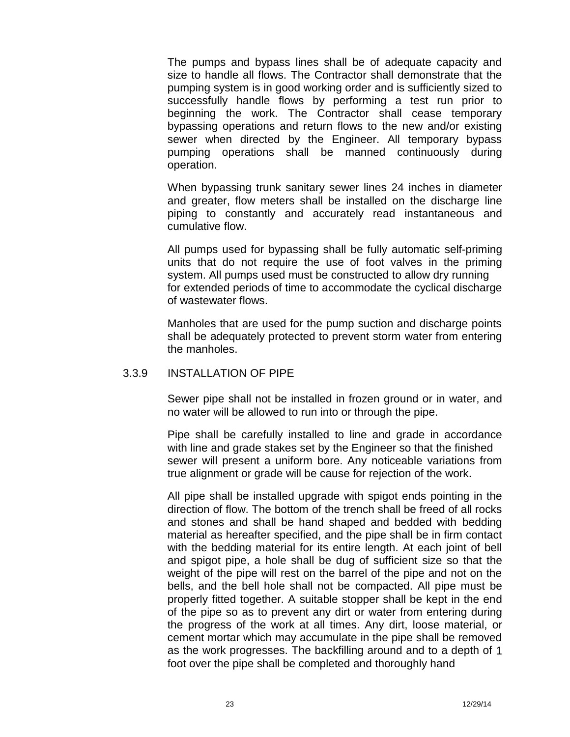The pumps and bypass lines shall be of adequate capacity and size to handle all flows. The Contractor shall demonstrate that the pumping system is in good working order and is sufficiently sized to successfully handle flows by performing a test run prior to beginning the work. The Contractor shall cease temporary bypassing operations and return flows to the new and/or existing sewer when directed by the Engineer. All temporary bypass pumping operations shall be manned continuously during operation.

When bypassing trunk sanitary sewer lines 24 inches in diameter and greater, flow meters shall be installed on the discharge line piping to constantly and accurately read instantaneous and cumulative flow.

All pumps used for bypassing shall be fully automatic self-priming units that do not require the use of foot valves in the priming system. All pumps used must be constructed to allow dry running for extended periods of time to accommodate the cyclical discharge of wastewater flows.

Manholes that are used for the pump suction and discharge points shall be adequately protected to prevent storm water from entering the manholes.

#### 3.3.9 INSTALLATION OF PIPE

Sewer pipe shall not be installed in frozen ground or in water, and no water will be allowed to run into or through the pipe.

Pipe shall be carefully installed to line and grade in accordance with line and grade stakes set by the Engineer so that the finished sewer will present a uniform bore. Any noticeable variations from true alignment or grade will be cause for rejection of the work.

All pipe shall be installed upgrade with spigot ends pointing in the direction of flow. The bottom of the trench shall be freed of all rocks and stones and shall be hand shaped and bedded with bedding material as hereafter specified, and the pipe shall be in firm contact with the bedding material for its entire length. At each joint of bell and spigot pipe, a hole shall be dug of sufficient size so that the weight of the pipe will rest on the barrel of the pipe and not on the bells, and the bell hole shall not be compacted. All pipe must be properly fitted together. A suitable stopper shall be kept in the end of the pipe so as to prevent any dirt or water from entering during the progress of the work at all times. Any dirt, loose material, or cement mortar which may accumulate in the pipe shall be removed as the work progresses. The backfilling around and to a depth of 1 foot over the pipe shall be completed and thoroughly hand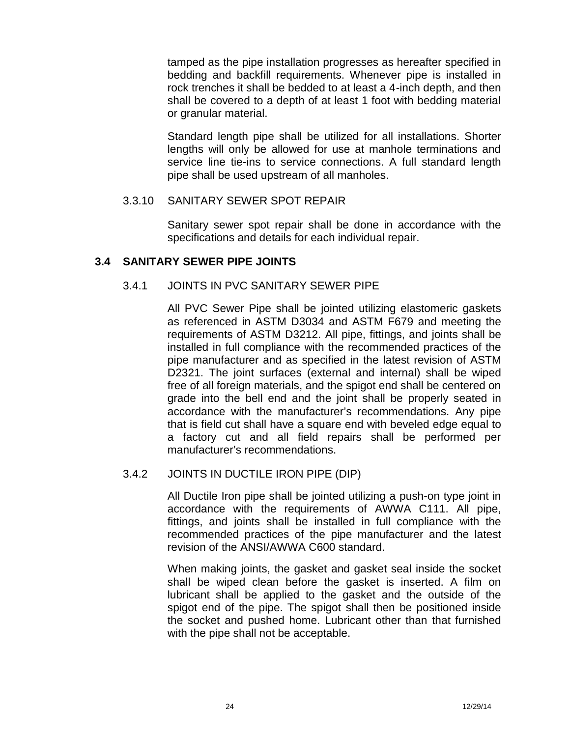tamped as the pipe installation progresses as hereafter specified in bedding and backfill requirements. Whenever pipe is installed in rock trenches it shall be bedded to at least a 4-inch depth, and then shall be covered to a depth of at least 1 foot with bedding material or granular material.

Standard length pipe shall be utilized for all installations. Shorter lengths will only be allowed for use at manhole terminations and service line tie-ins to service connections. A full standard length pipe shall be used upstream of all manholes.

## 3.3.10 SANITARY SEWER SPOT REPAIR

Sanitary sewer spot repair shall be done in accordance with the specifications and details for each individual repair.

## **3.4 SANITARY SEWER PIPE JOINTS**

## 3.4.1 JOINTS IN PVC SANITARY SEWER PIPE

All PVC Sewer Pipe shall be jointed utilizing elastomeric gaskets as referenced in ASTM D3034 and ASTM F679 and meeting the requirements of ASTM D3212. All pipe, fittings, and joints shall be installed in full compliance with the recommended practices of the pipe manufacturer and as specified in the latest revision of ASTM D2321. The joint surfaces (external and internal) shall be wiped free of all foreign materials, and the spigot end shall be centered on grade into the bell end and the joint shall be properly seated in accordance with the manufacturer's recommendations. Any pipe that is field cut shall have a square end with beveled edge equal to a factory cut and all field repairs shall be performed per manufacturer's recommendations.

## 3.4.2 JOINTS IN DUCTILE IRON PIPE (DIP)

All Ductile Iron pipe shall be jointed utilizing a push-on type joint in accordance with the requirements of AWWA C111. All pipe, fittings, and joints shall be installed in full compliance with the recommended practices of the pipe manufacturer and the latest revision of the ANSI/AWWA C600 standard.

When making joints, the gasket and gasket seal inside the socket shall be wiped clean before the gasket is inserted. A film on lubricant shall be applied to the gasket and the outside of the spigot end of the pipe. The spigot shall then be positioned inside the socket and pushed home. Lubricant other than that furnished with the pipe shall not be acceptable.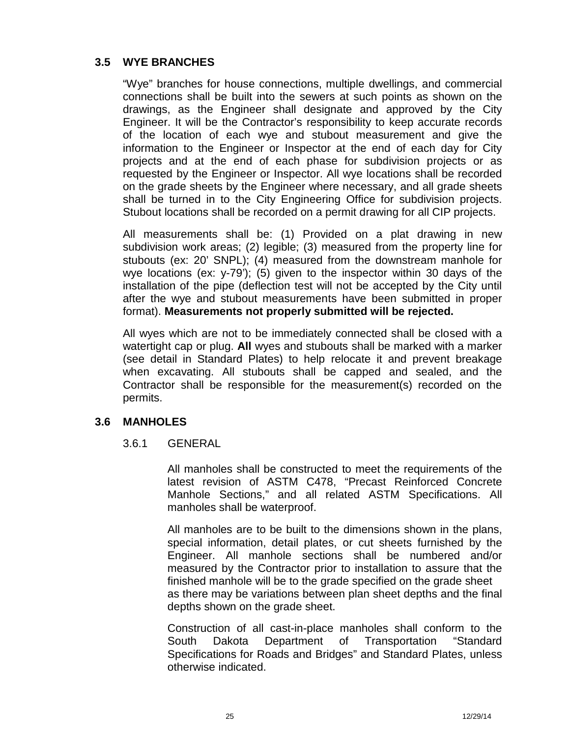## **3.5 WYE BRANCHES**

"Wye" branches for house connections, multiple dwellings, and commercial connections shall be built into the sewers at such points as shown on the drawings, as the Engineer shall designate and approved by the City Engineer. It will be the Contractor's responsibility to keep accurate records of the location of each wye and stubout measurement and give the information to the Engineer or Inspector at the end of each day for City projects and at the end of each phase for subdivision projects or as requested by the Engineer or Inspector. All wye locations shall be recorded on the grade sheets by the Engineer where necessary, and all grade sheets shall be turned in to the City Engineering Office for subdivision projects. Stubout locations shall be recorded on a permit drawing for all CIP projects.

All measurements shall be: (1) Provided on a plat drawing in new subdivision work areas; (2) legible; (3) measured from the property line for stubouts (ex: 20' SNPL); (4) measured from the downstream manhole for wye locations (ex: y-79'); (5) given to the inspector within 30 days of the installation of the pipe (deflection test will not be accepted by the City until after the wye and stubout measurements have been submitted in proper format). **Measurements not properly submitted will be rejected.**

All wyes which are not to be immediately connected shall be closed with a watertight cap or plug. **All** wyes and stubouts shall be marked with a marker (see detail in Standard Plates) to help relocate it and prevent breakage when excavating. All stubouts shall be capped and sealed, and the Contractor shall be responsible for the measurement(s) recorded on the permits.

## **3.6 MANHOLES**

## 3.6.1 GENERAL

All manholes shall be constructed to meet the requirements of the latest revision of ASTM C478, "Precast Reinforced Concrete Manhole Sections," and all related ASTM Specifications. All manholes shall be waterproof.

All manholes are to be built to the dimensions shown in the plans, special information, detail plates, or cut sheets furnished by the Engineer. All manhole sections shall be numbered and/or measured by the Contractor prior to installation to assure that the finished manhole will be to the grade specified on the grade sheet as there may be variations between plan sheet depths and the final depths shown on the grade sheet.

Construction of all cast-in-place manholes shall conform to the South Dakota Department of Transportation "Standard Specifications for Roads and Bridges" and Standard Plates, unless otherwise indicated.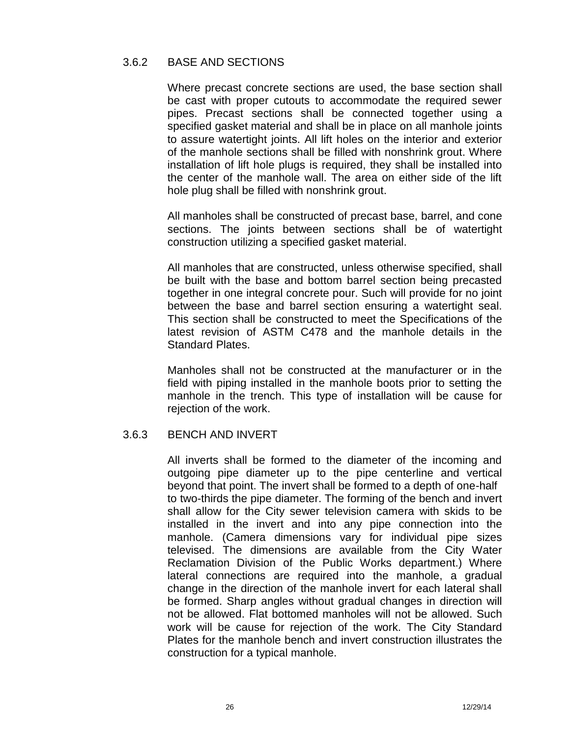## 3.6.2 BASE AND SECTIONS

Where precast concrete sections are used, the base section shall be cast with proper cutouts to accommodate the required sewer pipes. Precast sections shall be connected together using a specified gasket material and shall be in place on all manhole joints to assure watertight joints. All lift holes on the interior and exterior of the manhole sections shall be filled with nonshrink grout. Where installation of lift hole plugs is required, they shall be installed into the center of the manhole wall. The area on either side of the lift hole plug shall be filled with nonshrink grout.

All manholes shall be constructed of precast base, barrel, and cone sections. The joints between sections shall be of watertight construction utilizing a specified gasket material.

All manholes that are constructed, unless otherwise specified, shall be built with the base and bottom barrel section being precasted together in one integral concrete pour. Such will provide for no joint between the base and barrel section ensuring a watertight seal. This section shall be constructed to meet the Specifications of the latest revision of ASTM C478 and the manhole details in the Standard Plates.

Manholes shall not be constructed at the manufacturer or in the field with piping installed in the manhole boots prior to setting the manhole in the trench. This type of installation will be cause for rejection of the work.

## 3.6.3 BENCH AND INVERT

All inverts shall be formed to the diameter of the incoming and outgoing pipe diameter up to the pipe centerline and vertical beyond that point. The invert shall be formed to a depth of one-half to two-thirds the pipe diameter. The forming of the bench and invert shall allow for the City sewer television camera with skids to be installed in the invert and into any pipe connection into the manhole. (Camera dimensions vary for individual pipe sizes televised. The dimensions are available from the City Water Reclamation Division of the Public Works department.) Where lateral connections are required into the manhole, a gradual change in the direction of the manhole invert for each lateral shall be formed. Sharp angles without gradual changes in direction will not be allowed. Flat bottomed manholes will not be allowed. Such work will be cause for rejection of the work. The City Standard Plates for the manhole bench and invert construction illustrates the construction for a typical manhole.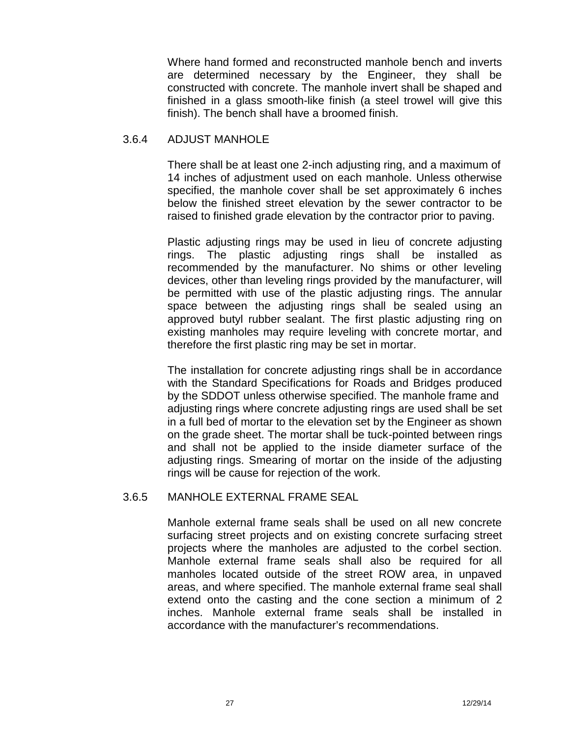Where hand formed and reconstructed manhole bench and inverts are determined necessary by the Engineer, they shall be constructed with concrete. The manhole invert shall be shaped and finished in a glass smooth-like finish (a steel trowel will give this finish). The bench shall have a broomed finish.

#### 3.6.4 ADJUST MANHOLE

There shall be at least one 2-inch adjusting ring, and a maximum of 14 inches of adjustment used on each manhole. Unless otherwise specified, the manhole cover shall be set approximately 6 inches below the finished street elevation by the sewer contractor to be raised to finished grade elevation by the contractor prior to paving.

Plastic adjusting rings may be used in lieu of concrete adjusting rings. The plastic adjusting rings shall be installed as recommended by the manufacturer. No shims or other leveling devices, other than leveling rings provided by the manufacturer, will be permitted with use of the plastic adjusting rings. The annular space between the adjusting rings shall be sealed using an approved butyl rubber sealant. The first plastic adjusting ring on existing manholes may require leveling with concrete mortar, and therefore the first plastic ring may be set in mortar.

The installation for concrete adjusting rings shall be in accordance with the Standard Specifications for Roads and Bridges produced by the SDDOT unless otherwise specified. The manhole frame and adjusting rings where concrete adjusting rings are used shall be set in a full bed of mortar to the elevation set by the Engineer as shown on the grade sheet. The mortar shall be tuck-pointed between rings and shall not be applied to the inside diameter surface of the adjusting rings. Smearing of mortar on the inside of the adjusting rings will be cause for rejection of the work.

## 3.6.5 MANHOLE EXTERNAL FRAME SEAL

Manhole external frame seals shall be used on all new concrete surfacing street projects and on existing concrete surfacing street projects where the manholes are adjusted to the corbel section. Manhole external frame seals shall also be required for all manholes located outside of the street ROW area, in unpaved areas, and where specified. The manhole external frame seal shall extend onto the casting and the cone section a minimum of 2 inches. Manhole external frame seals shall be installed in accordance with the manufacturer's recommendations.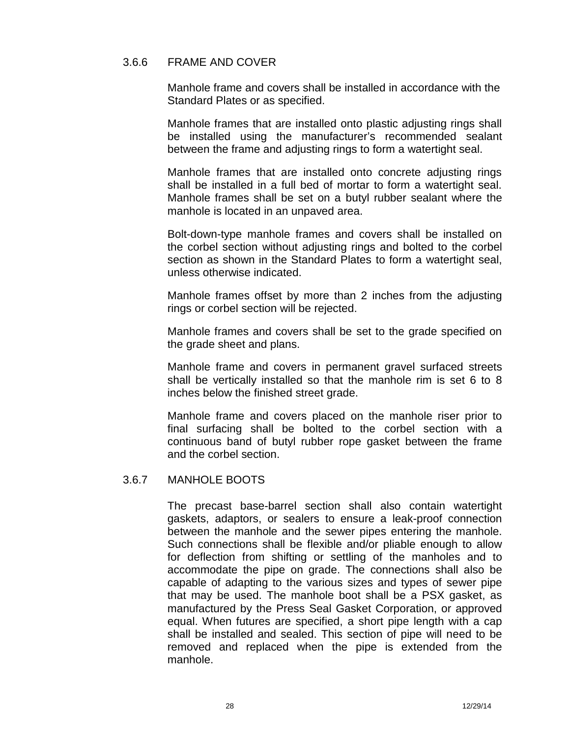## 3.6.6 FRAME AND COVER

Manhole frame and covers shall be installed in accordance with the Standard Plates or as specified.

Manhole frames that are installed onto plastic adjusting rings shall be installed using the manufacturer's recommended sealant between the frame and adjusting rings to form a watertight seal.

Manhole frames that are installed onto concrete adjusting rings shall be installed in a full bed of mortar to form a watertight seal. Manhole frames shall be set on a butyl rubber sealant where the manhole is located in an unpaved area.

Bolt-down-type manhole frames and covers shall be installed on the corbel section without adjusting rings and bolted to the corbel section as shown in the Standard Plates to form a watertight seal, unless otherwise indicated.

Manhole frames offset by more than 2 inches from the adjusting rings or corbel section will be rejected.

Manhole frames and covers shall be set to the grade specified on the grade sheet and plans.

Manhole frame and covers in permanent gravel surfaced streets shall be vertically installed so that the manhole rim is set 6 to 8 inches below the finished street grade.

Manhole frame and covers placed on the manhole riser prior to final surfacing shall be bolted to the corbel section with a continuous band of butyl rubber rope gasket between the frame and the corbel section.

## 3.6.7 MANHOLE BOOTS

The precast base-barrel section shall also contain watertight gaskets, adaptors, or sealers to ensure a leak-proof connection between the manhole and the sewer pipes entering the manhole. Such connections shall be flexible and/or pliable enough to allow for deflection from shifting or settling of the manholes and to accommodate the pipe on grade. The connections shall also be capable of adapting to the various sizes and types of sewer pipe that may be used. The manhole boot shall be a PSX gasket, as manufactured by the Press Seal Gasket Corporation, or approved equal. When futures are specified, a short pipe length with a cap shall be installed and sealed. This section of pipe will need to be removed and replaced when the pipe is extended from the manhole.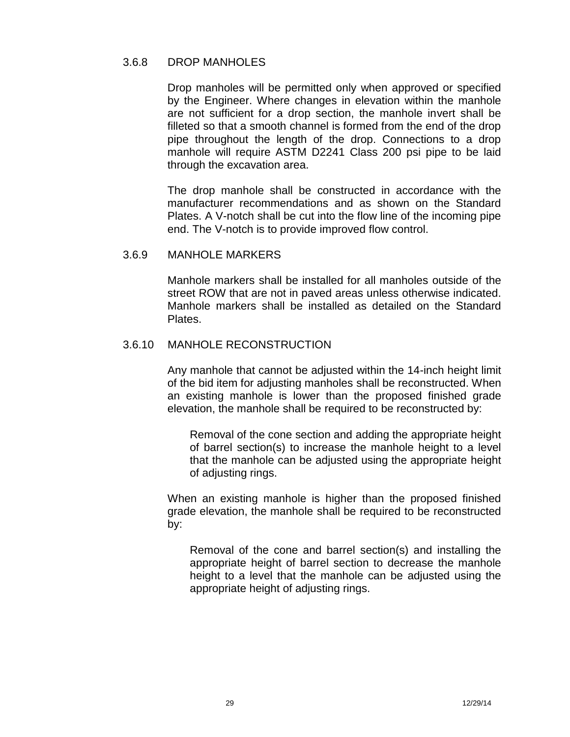#### 3.6.8 DROP MANHOLES

Drop manholes will be permitted only when approved or specified by the Engineer. Where changes in elevation within the manhole are not sufficient for a drop section, the manhole invert shall be filleted so that a smooth channel is formed from the end of the drop pipe throughout the length of the drop. Connections to a drop manhole will require ASTM D2241 Class 200 psi pipe to be laid through the excavation area.

The drop manhole shall be constructed in accordance with the manufacturer recommendations and as shown on the Standard Plates. A V-notch shall be cut into the flow line of the incoming pipe end. The V-notch is to provide improved flow control.

#### 3.6.9 MANHOLE MARKERS

Manhole markers shall be installed for all manholes outside of the street ROW that are not in paved areas unless otherwise indicated. Manhole markers shall be installed as detailed on the Standard Plates.

#### 3.6.10 MANHOLE RECONSTRUCTION

Any manhole that cannot be adjusted within the 14-inch height limit of the bid item for adjusting manholes shall be reconstructed. When an existing manhole is lower than the proposed finished grade elevation, the manhole shall be required to be reconstructed by:

Removal of the cone section and adding the appropriate height of barrel section(s) to increase the manhole height to a level that the manhole can be adjusted using the appropriate height of adjusting rings.

When an existing manhole is higher than the proposed finished grade elevation, the manhole shall be required to be reconstructed by:

Removal of the cone and barrel section(s) and installing the appropriate height of barrel section to decrease the manhole height to a level that the manhole can be adjusted using the appropriate height of adjusting rings.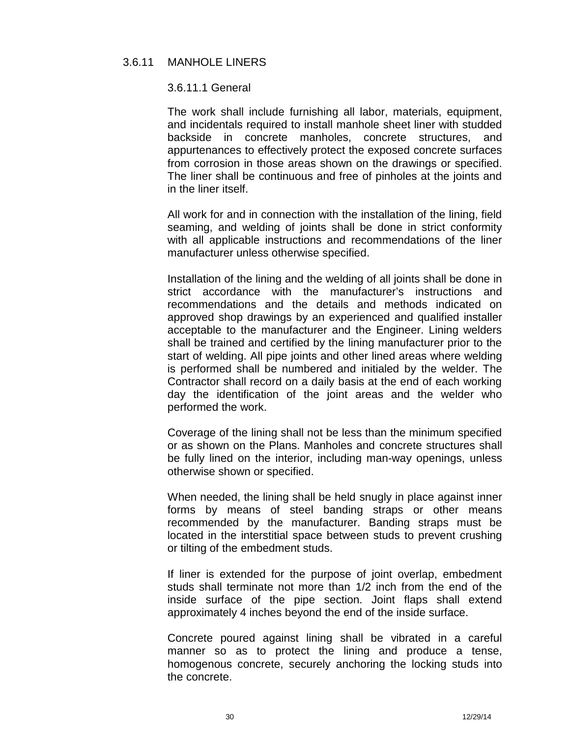## 3.6.11 MANHOLE LINERS

#### 3.6.11.1 General

The work shall include furnishing all labor, materials, equipment, and incidentals required to install manhole sheet liner with studded backside in concrete manholes, concrete structures, and appurtenances to effectively protect the exposed concrete surfaces from corrosion in those areas shown on the drawings or specified. The liner shall be continuous and free of pinholes at the joints and in the liner itself.

All work for and in connection with the installation of the lining, field seaming, and welding of joints shall be done in strict conformity with all applicable instructions and recommendations of the liner manufacturer unless otherwise specified.

Installation of the lining and the welding of all joints shall be done in strict accordance with the manufacturer's instructions and recommendations and the details and methods indicated on approved shop drawings by an experienced and qualified installer acceptable to the manufacturer and the Engineer. Lining welders shall be trained and certified by the lining manufacturer prior to the start of welding. All pipe joints and other lined areas where welding is performed shall be numbered and initialed by the welder. The Contractor shall record on a daily basis at the end of each working day the identification of the joint areas and the welder who performed the work.

Coverage of the lining shall not be less than the minimum specified or as shown on the Plans. Manholes and concrete structures shall be fully lined on the interior, including man-way openings, unless otherwise shown or specified.

When needed, the lining shall be held snugly in place against inner forms by means of steel banding straps or other means recommended by the manufacturer. Banding straps must be located in the interstitial space between studs to prevent crushing or tilting of the embedment studs.

If liner is extended for the purpose of joint overlap, embedment studs shall terminate not more than 1/2 inch from the end of the inside surface of the pipe section. Joint flaps shall extend approximately 4 inches beyond the end of the inside surface.

Concrete poured against lining shall be vibrated in a careful manner so as to protect the lining and produce a tense, homogenous concrete, securely anchoring the locking studs into the concrete.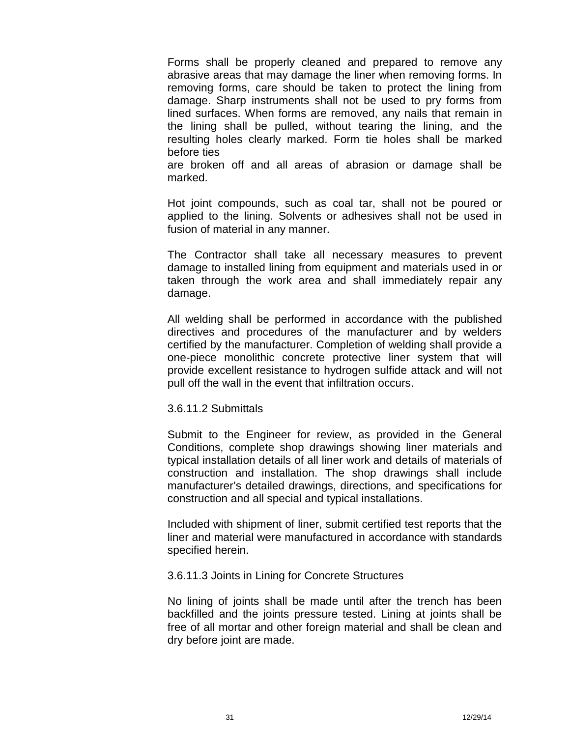Forms shall be properly cleaned and prepared to remove any abrasive areas that may damage the liner when removing forms. In removing forms, care should be taken to protect the lining from damage. Sharp instruments shall not be used to pry forms from lined surfaces. When forms are removed, any nails that remain in the lining shall be pulled, without tearing the lining, and the resulting holes clearly marked. Form tie holes shall be marked before ties

are broken off and all areas of abrasion or damage shall be marked.

Hot joint compounds, such as coal tar, shall not be poured or applied to the lining. Solvents or adhesives shall not be used in fusion of material in any manner.

The Contractor shall take all necessary measures to prevent damage to installed lining from equipment and materials used in or taken through the work area and shall immediately repair any damage.

All welding shall be performed in accordance with the published directives and procedures of the manufacturer and by welders certified by the manufacturer. Completion of welding shall provide a one-piece monolithic concrete protective liner system that will provide excellent resistance to hydrogen sulfide attack and will not pull off the wall in the event that infiltration occurs.

#### 3.6.11.2 Submittals

Submit to the Engineer for review, as provided in the General Conditions, complete shop drawings showing liner materials and typical installation details of all liner work and details of materials of construction and installation. The shop drawings shall include manufacturer's detailed drawings, directions, and specifications for construction and all special and typical installations.

Included with shipment of liner, submit certified test reports that the liner and material were manufactured in accordance with standards specified herein.

#### 3.6.11.3 Joints in Lining for Concrete Structures

No lining of joints shall be made until after the trench has been backfilled and the joints pressure tested. Lining at joints shall be free of all mortar and other foreign material and shall be clean and dry before joint are made.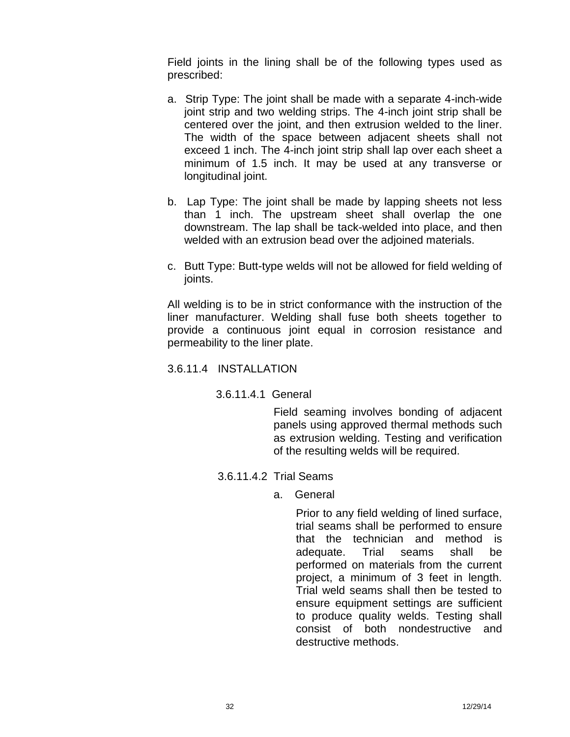Field joints in the lining shall be of the following types used as prescribed:

- a. Strip Type: The joint shall be made with a separate 4-inch-wide joint strip and two welding strips. The 4-inch joint strip shall be centered over the joint, and then extrusion welded to the liner. The width of the space between adjacent sheets shall not exceed 1 inch. The 4-inch joint strip shall lap over each sheet a minimum of 1.5 inch. It may be used at any transverse or longitudinal joint.
- b. Lap Type: The joint shall be made by lapping sheets not less than 1 inch. The upstream sheet shall overlap the one downstream. The lap shall be tack-welded into place, and then welded with an extrusion bead over the adjoined materials.
- c. Butt Type: Butt-type welds will not be allowed for field welding of joints.

All welding is to be in strict conformance with the instruction of the liner manufacturer. Welding shall fuse both sheets together to provide a continuous joint equal in corrosion resistance and permeability to the liner plate.

## 3.6.11.4 INSTALLATION

## 3.6.11.4.1 General

Field seaming involves bonding of adjacent panels using approved thermal methods such as extrusion welding. Testing and verification of the resulting welds will be required.

- 3.6.11.4.2 Trial Seams
	- a. General

Prior to any field welding of lined surface, trial seams shall be performed to ensure that the technician and method is adequate. Trial seams shall be performed on materials from the current project, a minimum of 3 feet in length. Trial weld seams shall then be tested to ensure equipment settings are sufficient to produce quality welds. Testing shall consist of both nondestructive and destructive methods.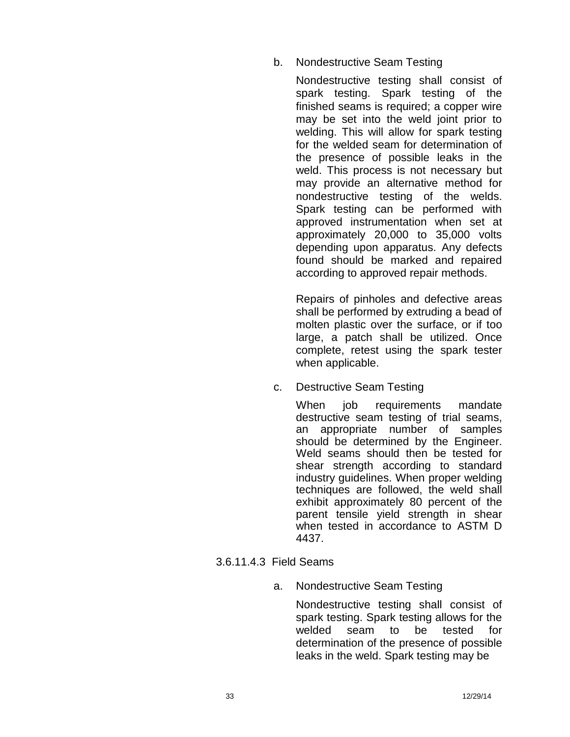## b. Nondestructive Seam Testing

Nondestructive testing shall consist of spark testing. Spark testing of the finished seams is required; a copper wire may be set into the weld joint prior to welding. This will allow for spark testing for the welded seam for determination of the presence of possible leaks in the weld. This process is not necessary but may provide an alternative method for nondestructive testing of the welds. Spark testing can be performed with approved instrumentation when set at approximately 20,000 to 35,000 volts depending upon apparatus. Any defects found should be marked and repaired according to approved repair methods.

Repairs of pinholes and defective areas shall be performed by extruding a bead of molten plastic over the surface, or if too large, a patch shall be utilized. Once complete, retest using the spark tester when applicable.

c. Destructive Seam Testing

When job requirements mandate destructive seam testing of trial seams, an appropriate number of samples should be determined by the Engineer. Weld seams should then be tested for shear strength according to standard industry guidelines. When proper welding techniques are followed, the weld shall exhibit approximately 80 percent of the parent tensile yield strength in shear when tested in accordance to ASTM D 4437.

## 3.6.11.4.3 Field Seams

a. Nondestructive Seam Testing

Nondestructive testing shall consist of spark testing. Spark testing allows for the welded seam to be tested for determination of the presence of possible leaks in the weld. Spark testing may be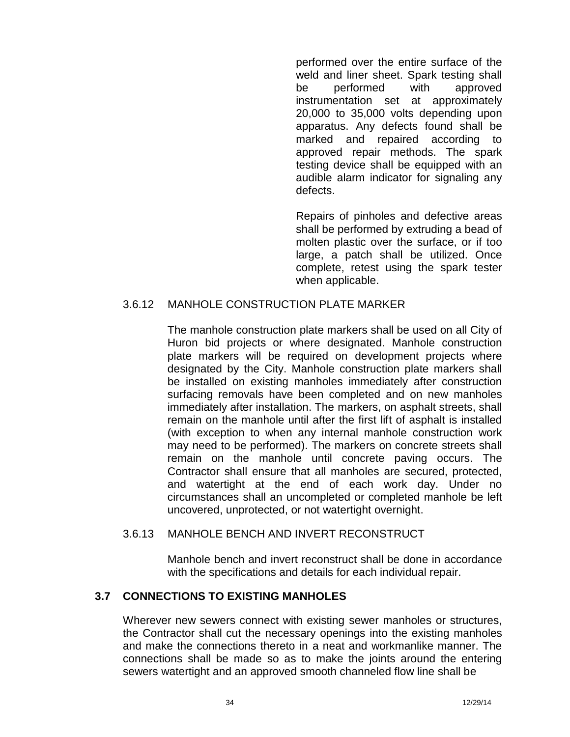performed over the entire surface of the weld and liner sheet. Spark testing shall be performed with approved instrumentation set at approximately 20,000 to 35,000 volts depending upon apparatus. Any defects found shall be marked and repaired according to approved repair methods. The spark testing device shall be equipped with an audible alarm indicator for signaling any defects.

Repairs of pinholes and defective areas shall be performed by extruding a bead of molten plastic over the surface, or if too large, a patch shall be utilized. Once complete, retest using the spark tester when applicable.

## 3.6.12 MANHOLE CONSTRUCTION PLATE MARKER

The manhole construction plate markers shall be used on all City of Huron bid projects or where designated. Manhole construction plate markers will be required on development projects where designated by the City. Manhole construction plate markers shall be installed on existing manholes immediately after construction surfacing removals have been completed and on new manholes immediately after installation. The markers, on asphalt streets, shall remain on the manhole until after the first lift of asphalt is installed (with exception to when any internal manhole construction work may need to be performed). The markers on concrete streets shall remain on the manhole until concrete paving occurs. The Contractor shall ensure that all manholes are secured, protected, and watertight at the end of each work day. Under no circumstances shall an uncompleted or completed manhole be left uncovered, unprotected, or not watertight overnight.

## 3.6.13 MANHOLE BENCH AND INVERT RECONSTRUCT

Manhole bench and invert reconstruct shall be done in accordance with the specifications and details for each individual repair.

## **3.7 CONNECTIONS TO EXISTING MANHOLES**

Wherever new sewers connect with existing sewer manholes or structures, the Contractor shall cut the necessary openings into the existing manholes and make the connections thereto in a neat and workmanlike manner. The connections shall be made so as to make the joints around the entering sewers watertight and an approved smooth channeled flow line shall be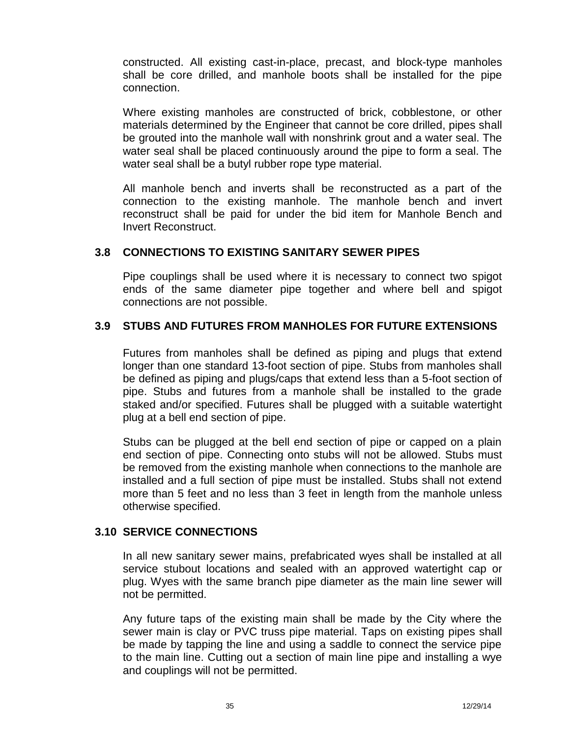constructed. All existing cast-in-place, precast, and block-type manholes shall be core drilled, and manhole boots shall be installed for the pipe connection.

Where existing manholes are constructed of brick, cobblestone, or other materials determined by the Engineer that cannot be core drilled, pipes shall be grouted into the manhole wall with nonshrink grout and a water seal. The water seal shall be placed continuously around the pipe to form a seal. The water seal shall be a butyl rubber rope type material.

All manhole bench and inverts shall be reconstructed as a part of the connection to the existing manhole. The manhole bench and invert reconstruct shall be paid for under the bid item for Manhole Bench and Invert Reconstruct.

## **3.8 CONNECTIONS TO EXISTING SANITARY SEWER PIPES**

Pipe couplings shall be used where it is necessary to connect two spigot ends of the same diameter pipe together and where bell and spigot connections are not possible.

## **3.9 STUBS AND FUTURES FROM MANHOLES FOR FUTURE EXTENSIONS**

Futures from manholes shall be defined as piping and plugs that extend longer than one standard 13-foot section of pipe. Stubs from manholes shall be defined as piping and plugs/caps that extend less than a 5-foot section of pipe. Stubs and futures from a manhole shall be installed to the grade staked and/or specified. Futures shall be plugged with a suitable watertight plug at a bell end section of pipe.

Stubs can be plugged at the bell end section of pipe or capped on a plain end section of pipe. Connecting onto stubs will not be allowed. Stubs must be removed from the existing manhole when connections to the manhole are installed and a full section of pipe must be installed. Stubs shall not extend more than 5 feet and no less than 3 feet in length from the manhole unless otherwise specified.

## **3.10 SERVICE CONNECTIONS**

In all new sanitary sewer mains, prefabricated wyes shall be installed at all service stubout locations and sealed with an approved watertight cap or plug. Wyes with the same branch pipe diameter as the main line sewer will not be permitted.

Any future taps of the existing main shall be made by the City where the sewer main is clay or PVC truss pipe material. Taps on existing pipes shall be made by tapping the line and using a saddle to connect the service pipe to the main line. Cutting out a section of main line pipe and installing a wye and couplings will not be permitted.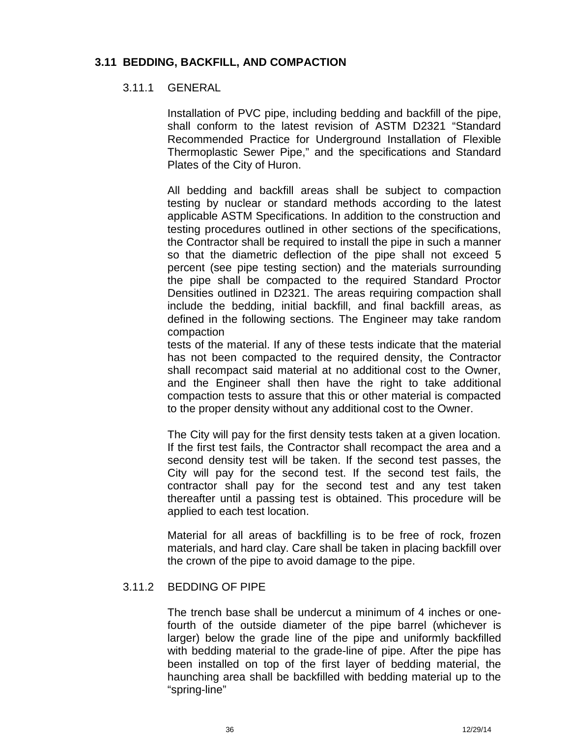## **3.11 BEDDING, BACKFILL, AND COMPACTION**

#### 3.11.1 GENERAL

Installation of PVC pipe, including bedding and backfill of the pipe, shall conform to the latest revision of ASTM D2321 "Standard Recommended Practice for Underground Installation of Flexible Thermoplastic Sewer Pipe," and the specifications and Standard Plates of the City of Huron.

All bedding and backfill areas shall be subject to compaction testing by nuclear or standard methods according to the latest applicable ASTM Specifications. In addition to the construction and testing procedures outlined in other sections of the specifications, the Contractor shall be required to install the pipe in such a manner so that the diametric deflection of the pipe shall not exceed 5 percent (see pipe testing section) and the materials surrounding the pipe shall be compacted to the required Standard Proctor Densities outlined in D2321. The areas requiring compaction shall include the bedding, initial backfill, and final backfill areas, as defined in the following sections. The Engineer may take random compaction

tests of the material. If any of these tests indicate that the material has not been compacted to the required density, the Contractor shall recompact said material at no additional cost to the Owner, and the Engineer shall then have the right to take additional compaction tests to assure that this or other material is compacted to the proper density without any additional cost to the Owner.

The City will pay for the first density tests taken at a given location. If the first test fails, the Contractor shall recompact the area and a second density test will be taken. If the second test passes, the City will pay for the second test. If the second test fails, the contractor shall pay for the second test and any test taken thereafter until a passing testis obtained. This procedure will be applied to each test location.

Material for all areas of backfilling is to be free of rock, frozen materials, and hard clay. Care shall be taken in placing backfill over the crown of the pipe to avoid damage to the pipe.

## 3.11.2 BEDDING OF PIPE

The trench base shall be undercut a minimum of 4 inches or onefourth of the outside diameter of the pipe barrel (whichever is larger) below the grade line of the pipe and uniformly backfilled with bedding material to the grade-line of pipe. After the pipe has been installed on top of the first layer of bedding material, the haunching area shall be backfilled with bedding material up to the "spring-line"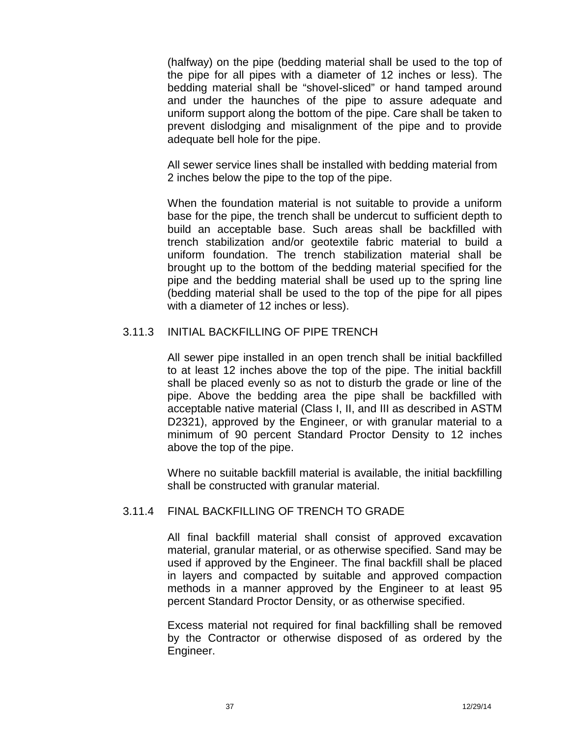(halfway) on the pipe (bedding material shall be used to the top of the pipe forall pipes with a diameter of 12 inches or less). The bedding material shall be "shovel-sliced" or hand tamped around and under the haunches of the pipe to assure adequate and uniform support along the bottom of the pipe. Care shall be taken to prevent dislodging and misalignment of the pipe and to provide adequate bell hole for the pipe.

All sewer service lines shall be installed with bedding material from 2 inches below the pipe to the top of the pipe.

When the foundation material is not suitable to provide a uniform base for the pipe, the trench shall be undercut to sufficient depth to build an acceptable base. Such areas shall be backfilled with trench stabilization and/or geotextile fabric material to build a uniform foundation. The trench stabilization material shall be brought up to the bottom of the bedding material specified for the pipe and the bedding material shall be used up to the spring line (bedding material shall be used to the top of the pipe for all pipes with a diameter of 12 inches or less).

## 3.11.3 INITIAL BACKFILLING OF PIPE TRENCH

All sewer pipe installed in an open trench shall be initial backfilled to at least 12 inches above the top of the pipe. The initial backfill shall be placed evenly so as not to disturb the grade or line of the pipe. Above the bedding area the pipe shall be backfilled with acceptable native material (Class I, II, and III as described in ASTM D2321), approved by the Engineer, or with granular material to a minimum of 90 percent Standard Proctor Density to 12 inches above the top of the pipe.

Where no suitable backfill material is available, the initial backfilling shall be constructed with granular material.

## 3.11.4 FINAL BACKFILLING OF TRENCH TO GRADE

All final backfill material shall consist of approved excavation material, granular material, or as otherwise specified. Sand may be used if approved by the Engineer. The final backfill shall be placed in layers and compacted by suitable and approved compaction methods in a manner approved by the Engineer to at least 95 percent Standard Proctor Density, or as otherwise specified.

Excess material not required for final backfilling shallbe removed by the Contractor or otherwise disposed of as ordered by the Engineer.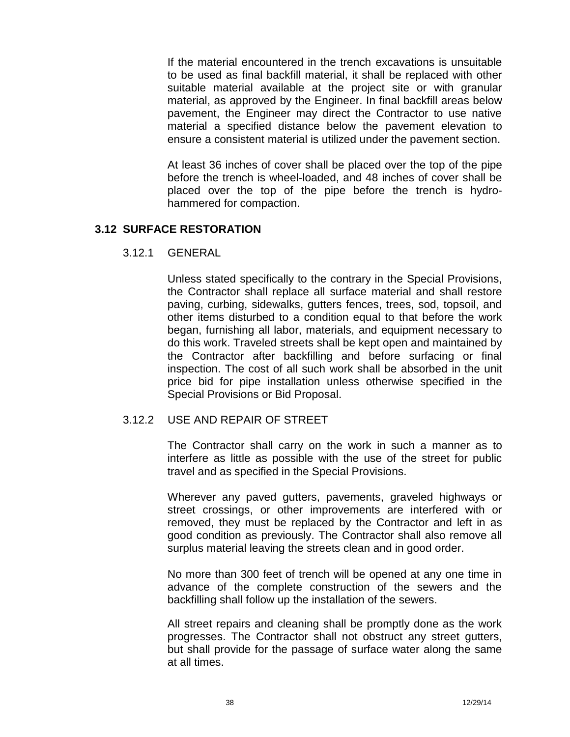If the material encountered in the trench excavations is unsuitable to be used as final backfill material, it shall be replaced with other suitable material available at the project site or with granular material, as approved by the Engineer. In final backfill areas below pavement, the Engineer may direct the Contractor to use native material a specified distance below the pavement elevation to ensure a consistent material is utilized under the pavement section.

At least 36 inches of cover shall be placed over the top of the pipe before the trench is wheel-loaded, and 48 inches of cover shall be placed over the top of the pipe before the trench is hydro hammered for compaction.

## **3.12 SURFACE RESTORATION**

3.12.1 GENERAL

Unless stated specifically to the contrary in the Special Provisions, the Contractor shall replace all surface material and shall restore paving, curbing, sidewalks, gutters fences, trees, sod, topsoil, and other items disturbed to a condition equal to thatbefore the work began, furnishing all labor, materials, and equipment necessary to do this work. Traveled streets shall be kept open and maintained by the Contractor after backfilling and before surfacing or final inspection. The cost of all such work shall be absorbed in the unit price bid for pipe installation unless otherwise specified in the Special Provisions or Bid Proposal.

## 3.12.2 USE AND REPAIR OF STREET

The Contractor shall carry on the work in such a manner as to interfere as little as possible with the use of the street for public travel and as specified in the Special Provisions.

Wherever any paved gutters, pavements, graveled highways or street crossings, or other improvements are interfered with or removed, they must be replaced by the Contractor and left in as good condition as previously. The Contractor shall also remove all surplus material leaving the streets clean and in good order.

No more than 300 feet of trench will be opened at any one time in advance of the complete construction of the sewers and the backfilling shall follow up the installation of the sewers.

All street repairs and cleaning shall be promptly done as the work progresses. The Contractor shall not obstruct any street gutters, but shall provide for the passage of surface water along the same at all times.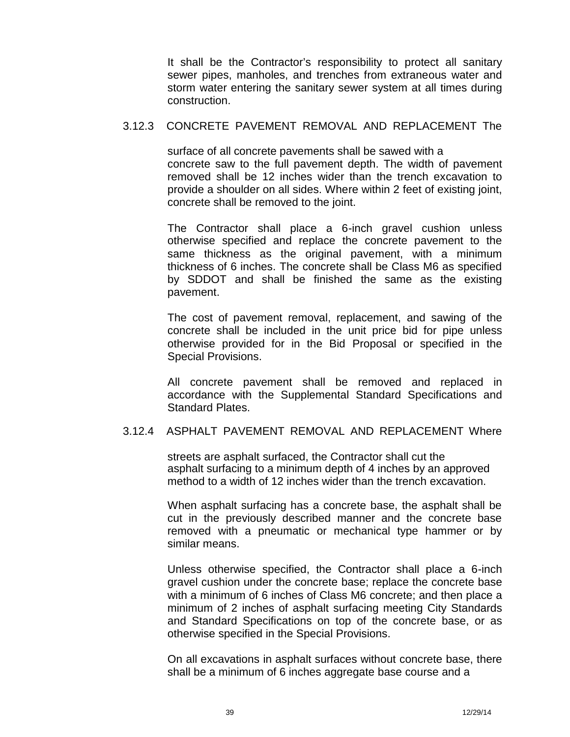It shall be the Contractor's responsibility to protect all sanitary sewer pipes, manholes, and trenches from extraneous water and storm water entering the sanitary sewer system at all times during construction.

#### 3.12.3 CONCRETE PAVEMENT REMOVAL AND REPLACEMENT The

surface of all concrete pavements shall be sawed with a concrete saw to the full pavement depth. The width of pavement removed shall be 12 inches wider than the trench excavation to provide a shoulder on all sides. Where within 2 feet of existing joint, concrete shall be removed to the joint.

The Contractor shall place a 6-inch gravel cushion unless otherwise specified and replace the concrete pavement to the same thickness as the original pavement, with a minimum thickness of 6 inches. The concrete shall be Class M6 as specified by SDDOT and shall be finished the same as the existing pavement.

The cost of pavement removal, replacement, and sawing of the concrete shall be included in the unit price bid for pipe unless otherwise provided for in the Bid Proposal or specified in the Special Provisions.

All concrete pavement shall be removed and replaced in accordance with the Supplemental Standard Specifications and Standard Plates.

## 3.12.4 ASPHALT PAVEMENT REMOVAL AND REPLACEMENT Where

streets are asphalt surfaced, the Contractor shall cut the asphalt surfacing to a minimum depth of 4 inches by an approved method to a width of 12 inches wider than the trench excavation.

When asphalt surfacing has a concrete base, the asphalt shall be cut in the previously described manner and the concrete base removed with a pneumatic or mechanical type hammer or by similar means.

Unless otherwise specified, the Contractor shall place a 6-inch gravel cushion under the concrete base; replace the concrete base with a minimum of 6 inches of Class M6 concrete; and then place a minimum of 2 inches of asphalt surfacing meeting City Standards and Standard Specifications on top of the concrete base, or as otherwise specified in the Special Provisions.

On all excavations in asphalt surfaces without concrete base, there shall be a minimum of 6 inches aggregate base course and a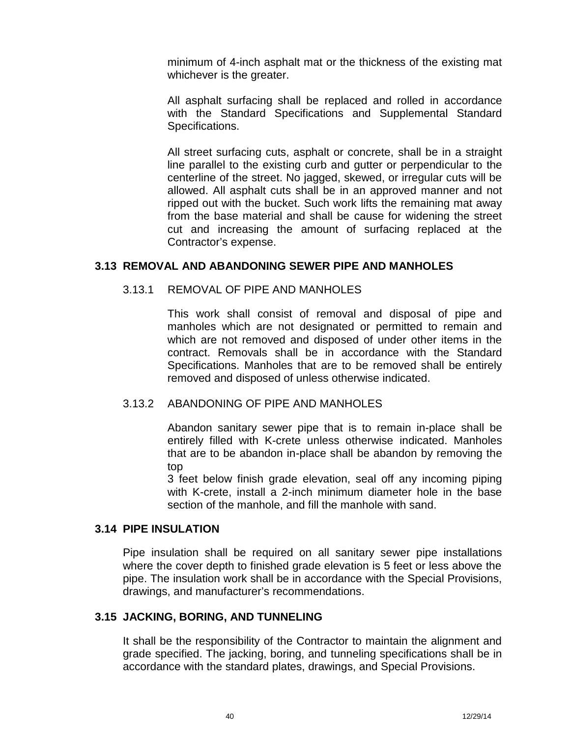minimum of 4-inch asphalt mat or the thickness of the existing mat whichever is the greater.

All asphalt surfacing shall be replaced and rolled in accordance with the Standard Specifications and Supplemental Standard Specifications.

All street surfacing cuts, asphalt or concrete, shall be in a straight line parallel to the existing curb and gutter or perpendicular to the centerline of the street. No jagged, skewed, or irregular cuts will be allowed. All asphalt cuts shall be in an approved manner and not ripped out with the bucket. Such work lifts the remaining mataway from the base material and shall be cause for widening the street cut and increasing the amount of surfacing replaced at the Contractor's expense.

## **3.13 REMOVAL AND ABANDONING SEWER PIPE AND MANHOLES**

## 3.13.1 REMOVAL OF PIPE AND MANHOLES

This work shall consist of removal and disposal of pipe and manholes which are not designated or permitted to remain and which are not removed and disposed of under other items in the contract. Removals shall be in accordance with the Standard Specifications. Manholes that are to be removed shall be entirely removed and disposed of unless otherwise indicated.

## 3.13.2 ABANDONING OF PIPE AND MANHOLES

Abandon sanitary sewer pipe that is to remain in-place shall be entirely filled with K-crete unless otherwise indicated. Manholes that are to be abandon in-place shall be abandon by removing the top

3 feet below finish grade elevation, seal off any incoming piping with K-crete, install a 2-inch minimum diameter hole in the base section of the manhole, and fill the manhole with sand.

## **3.14 PIPE INSULATION**

Pipe insulation shall be required on all sanitary sewer pipe installations where the cover depth to finished grade elevation is 5 feet or less above the pipe. The insulation work shall be in accordance with the Special Provisions, drawings, and manufacturer's recommendations.

## **3.15 JACKING, BORING, AND TUNNELING**

It shall be the responsibility of the Contractor to maintain the alignment and grade specified. The jacking, boring, and tunneling specifications shall be in accordance with the standard plates, drawings, and Special Provisions.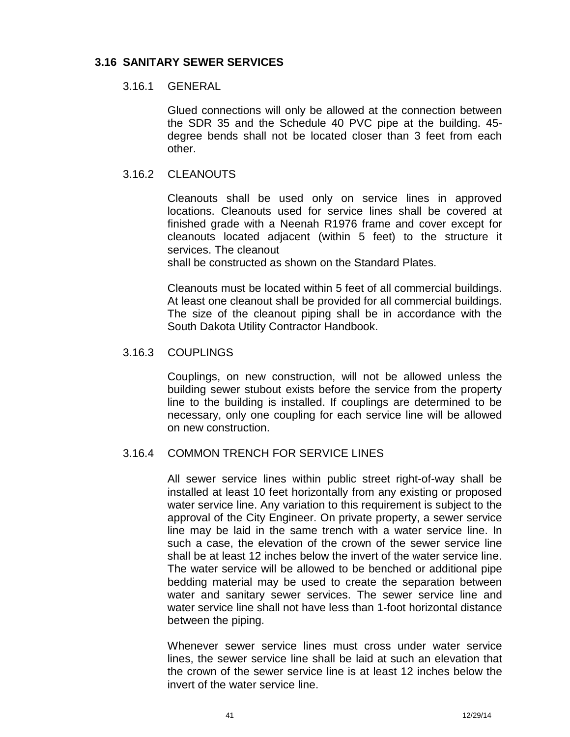## **3.16 SANITARY SEWER SERVICES**

## 3.16.1 GENERAL

Glued connections will only be allowed at the connection between the SDR 35 and the Schedule 40 PVC pipe at the building. 45 degree bends shall not be located closer than 3 feet from each other.

## 3.16.2 CLEANOUTS

Cleanouts shall be used only on service lines in approved locations. Cleanouts used for service lines shall be covered at finished grade with a Neenah R1976 frame and cover except for cleanouts located adjacent (within 5 feet) to the structure it services. The cleanout

shall be constructed as shown on the Standard Plates.

Cleanouts must be located within 5 feet of all commercial buildings. At least one cleanout shall be provided for all commercial buildings. The size of the cleanout piping shall be in accordance with the South Dakota Utility Contractor Handbook.

## 3.16.3 COUPLINGS

Couplings, on new construction, will not be allowed unless the building sewer stubout exists before the service from the property line to the building is installed. If couplings are determined to be necessary, only one coupling for each service line will be allowed on new construction.

## 3.16.4 COMMON TRENCH FOR SERVICE LINES

All sewer service lines within public street right-of-way shall be installed at least 10 feet horizontally from any existing or proposed water service line. Any variation to this requirement is subject to the approval of the City Engineer. On private property, a sewer service line may be laid in the same trench with a water service line. In such a case, the elevation of the crown of the sewer service line shall be at least 12 inches below the invert of the water service line. The water service will be allowed to be benched or additional pipe bedding material may be used to create the separation between water and sanitary sewer services. The sewer service line and water service line shall not have less than 1-foot horizontal distance between the piping.

Whenever sewer service lines must cross under water service lines, the sewer service line shall be laid at such an elevation that the crown of the sewer service line is at least 12 inches below the invert of the water service line.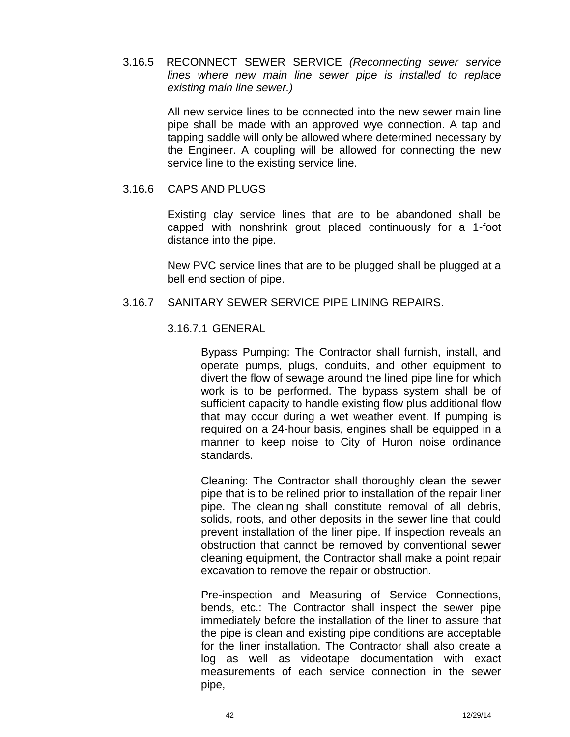3.16.5 RECONNECT SEWER SERVICE *(Reconnecting sewer service lines where new main line sewer pipe is installed to replace existing main line sewer.)*

> All new service lines to be connected into the new sewer main line pipe shall be made with an approved wye connection. A tap and tapping saddle will only be allowed where determined necessary by the Engineer. A coupling will be allowed for connecting the new service line to the existing service line.

#### 3.16.6 CAPS AND PLUGS

Existing clay service lines that are to be abandoned shall be capped with nonshrink grout placed continuously for a 1-foot distance into the pipe.

New PVC service lines that are to be plugged shall be plugged at a bell end section of pipe.

## 3.16.7 SANITARY SEWER SERVICE PIPE LINING REPAIRS.

## 3.16.7.1 GENERAL

Bypass Pumping: The Contractor shall furnish, install, and operate pumps, plugs, conduits, and other equipment to divert the flow of sewage around the lined pipe line for which work is to be performed. The bypass system shall be of sufficient capacity to handle existing flow plus additional flow that may occur during a wet weather event. If pumping is required on a 24-hour basis, engines shall be equipped in a manner to keep noise to City of Huron noise ordinance standards.

Cleaning: The Contractor shall thoroughly clean the sewer pipe that is to be relined prior to installation of the repair liner pipe. The cleaning shall constitute removal of all debris, solids, roots, and other deposits in the sewer line that could prevent installation of the liner pipe. If inspection reveals an obstruction that cannot be removed by conventional sewer cleaning equipment, the Contractor shall make a point repair excavation to remove the repair or obstruction.

Pre-inspection and Measuring of Service Connections, bends, etc.: The Contractor shall inspect the sewer pipe immediately before the installation of the liner to assure that the pipe is clean and existing pipe conditions are acceptable for the liner installation. The Contractor shall also create a log as well as videotape documentation with exact measurements of each service connection in the sewer pipe,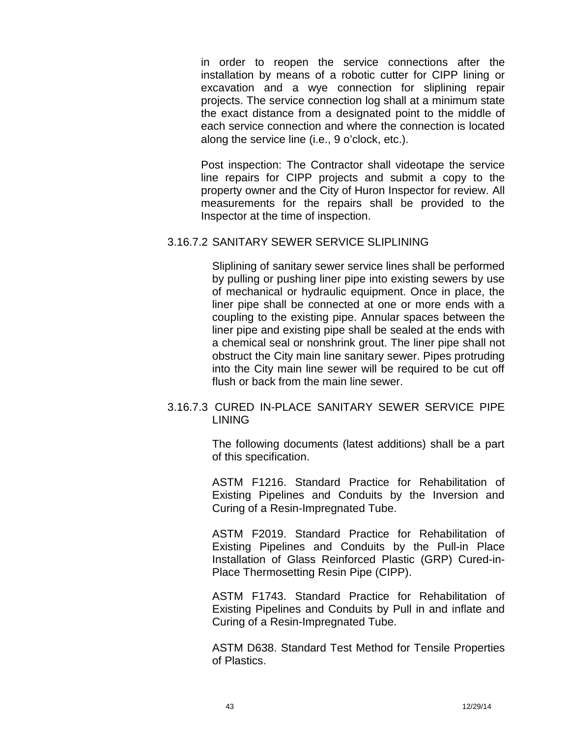in order to reopen the service connections after the installation by means of a robotic cutter for CIPP lining or excavation and a wye connection for sliplining repair projects. The service connection log shall at a minimum state the exact distance from a designated point to the middle of each service connection and where the connection is located along the service line (i.e., 9 o'clock, etc.).

Post inspection: The Contractor shall videotape the service line repairs for CIPP projects and submit a copy to the property owner and the City of Huron Inspector for review. All measurements for the repairs shall be provided to the Inspector at the time of inspection.

## 3.16.7.2 SANITARY SEWER SERVICE SLIPLINING

Sliplining of sanitary sewer service lines shall be performed by pulling or pushing liner pipe into existing sewers by use of mechanical or hydraulic equipment. Once in place, the liner pipe shall be connected at one or more ends with a coupling to the existing pipe. Annular spaces between the liner pipe and existing pipe shall be sealed at the ends with a chemical seal or nonshrink grout. The liner pipe shall not obstruct the City main line sanitary sewer. Pipes protruding into the City main line sewer will be required to be cut off flush or back from the main line sewer.

## 3.16.7.3 CURED IN-PLACE SANITARY SEWER SERVICE PIPE LINING

The following documents (latest additions) shall be a part of this specification.

ASTM F1216. Standard Practice for Rehabilitation of Existing Pipelines and Conduits by the Inversion and Curing of a Resin-Impregnated Tube.

ASTM F2019. Standard Practice for Rehabilitation of Existing Pipelines and Conduits by the Pull-in Place Installation of Glass Reinforced Plastic (GRP) Cured-in- Place Thermosetting Resin Pipe (CIPP).

ASTM F1743. Standard Practice for Rehabilitation of Existing Pipelines and Conduits by Pull in and inflate and Curing of a Resin-Impregnated Tube.

ASTM D638. Standard Test Method for Tensile Properties of Plastics.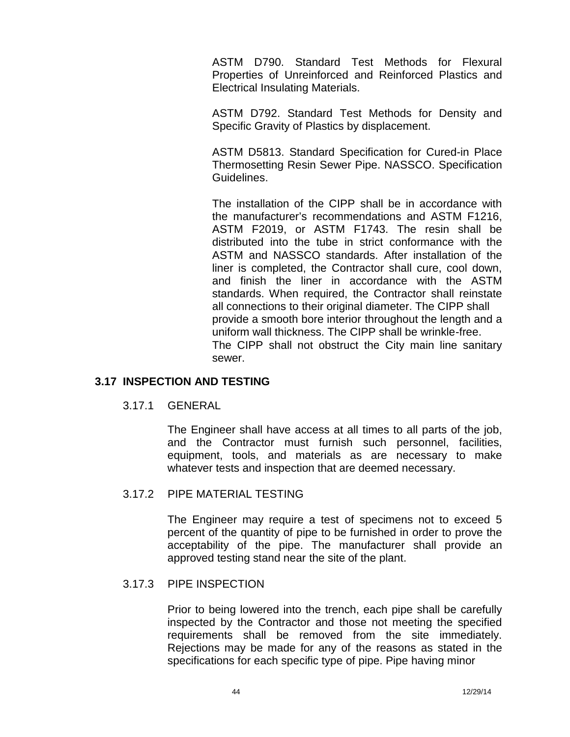ASTM D790. Standard Test Methods for Flexural Properties of Unreinforced and Reinforced Plastics and Electrical Insulating Materials.

ASTM D792. Standard Test Methods for Density and Specific Gravity of Plastics by displacement.

ASTM D5813. Standard Specification for Cured-in Place Thermosetting Resin Sewer Pipe. NASSCO. Specification Guidelines.

The installation of the CIPP shall be in accordance with the manufacturer's recommendations and ASTM F1216, ASTM F2019, or ASTM F1743. The resin shall be distributed into the tube in strict conformance with the ASTM and NASSCO standards. After installation of the liner is completed, the Contractor shall cure, cool down, and finish the liner in accordance with the ASTM standards. When required, the Contractor shall reinstate all connections to their original diameter. The CIPP shall provide a smooth bore interior throughout the length and a uniform wall thickness. The CIPP shall be wrinkle-free. The CIPP shall not obstruct the City main line sanitary sewer.

## **3.17 INSPECTION AND TESTING**

3.17.1 GENERAL

The Engineer shall have access at all times to all parts of the job, and the Contractor must furnish such personnel, facilities, equipment, tools, and materials as are necessary to make whatever tests and inspection that are deemed necessary.

## 3.17.2 PIPE MATERIAL TESTING

The Engineer may require a test of specimens not to exceed 5 percent of the quantity of pipe to be furnished in order to prove the acceptability of the pipe. The manufacturer shall provide an approved testing stand near the site of the plant.

## 3.17.3 PIPE INSPECTION

Prior to being lowered into the trench, each pipe shall be carefully inspected by the Contractor and those not meeting the specified requirements shall be removed from the site immediately. Rejections may be made for any of the reasons as stated in the specifications for each specific type of pipe. Pipe having minor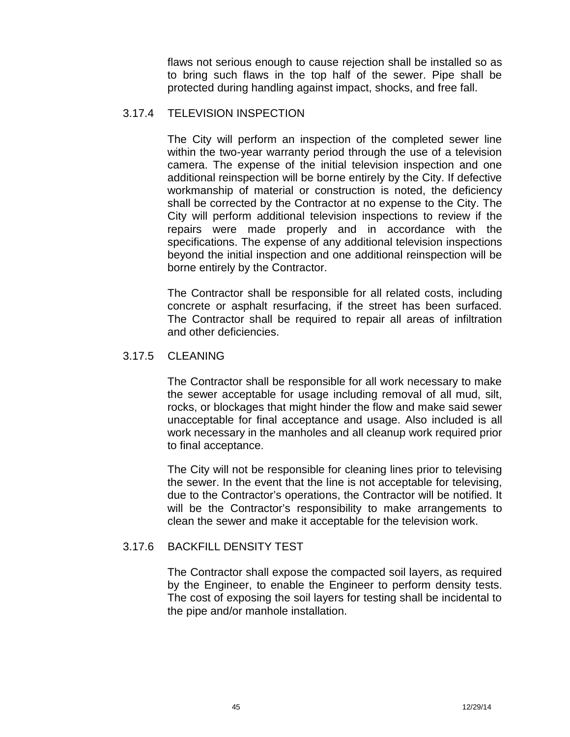flaws not serious enough to cause rejection shall be installed so as to bring such flaws in the top half of the sewer. Pipe shall be protected during handling against impact, shocks, and free fall.

## 3.17.4 TELEVISION INSPECTION

The City will perform an inspection of the completed sewer line within the two-year warranty period through the use of a television camera. The expense of the initial television inspection and one additional reinspection will be borne entirely by the City. If defective workmanship of material or construction is noted, the deficiency shall be corrected by the Contractor at no expense to the City. The City will perform additional television inspections to review if the repairs were made properly and in accordance with the specifications. The expense of any additional television inspections beyond the initial inspection and one additional reinspection will be borne entirely by the Contractor.

The Contractor shall be responsible for all related costs, including concrete or asphalt resurfacing, if the street has been surfaced. The Contractor shall be required to repair all areas of infiltration and other deficiencies.

## 3.17.5 CLEANING

The Contractor shall be responsible for all work necessary to make the sewer acceptable for usage including removal of all mud, silt, rocks, or blockages that might hinder the flow and make said sewer unacceptable for final acceptance and usage. Also included is all work necessary in the manholes and all cleanup work required prior to final acceptance.

The City will not be responsible for cleaning lines prior to televising the sewer. In the event that the line is not acceptable for televising, due to the Contractor's operations, the Contractor will be notified. It will be the Contractor's responsibility to make arrangements to clean the sewer and make it acceptable for the television work.

## 3.17.6 BACKFILL DENSITY TEST

The Contractor shall expose the compacted soil layers, as required by the Engineer, to enable the Engineer to perform density tests. The cost of exposing the soil layers for testing shall be incidental to the pipe and/or manhole installation.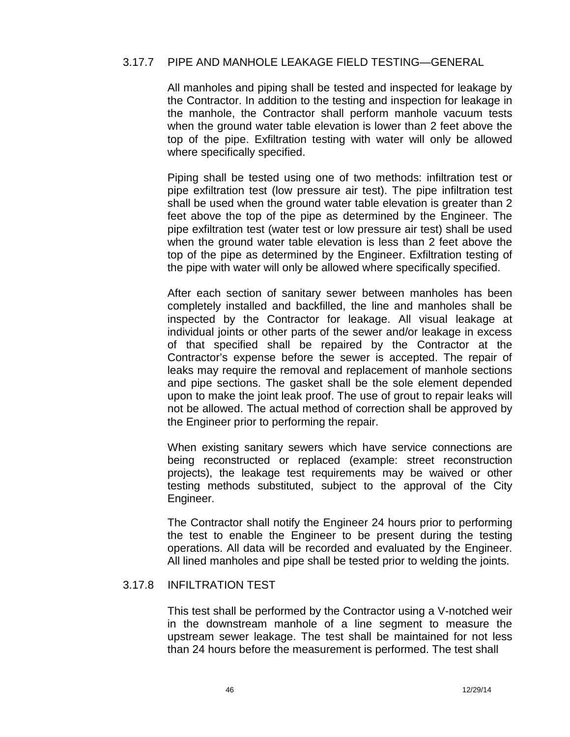#### 3.17.7 PIPE AND MANHOLE LEAKAGE FIELD TESTING—GENERAL

All manholes and piping shall be tested and inspected for leakage by the Contractor. In addition to the testing and inspection for leakage in the manhole, the Contractor shall perform manhole vacuum tests when the ground water table elevation is lower than 2 feet above the top of the pipe. Exfiltration testing with water will only be allowed where specifically specified.

Piping shall be tested using one of two methods: infiltration test or pipe exfiltration test (low pressure air test). The pipe infiltration test shall be used when the ground water table elevation is greater than 2 feet above the top of the pipe as determined by the Engineer. The pipe exfiltration test (water test or low pressure air test) shall be used when the ground water table elevation is less than 2 feet above the top of the pipe as determined by the Engineer. Exfiltration testing of the pipe with water will only be allowed where specifically specified.

After each section of sanitary sewer between manholes has been completely installed and backfilled, the line and manholes shall be inspected by the Contractor for leakage. All visual leakage at individual joints or other parts of the sewer and/or leakage in excess of that specified shall be repaired by the Contractor at the Contractor's expense before the sewer is accepted. The repair of leaks may require the removal and replacement of manhole sections and pipe sections. The gasket shall be the sole element depended upon to make the joint leak proof. The use of grout to repair leaks will not be allowed. The actual method of correction shall be approved by the Engineer prior to performing the repair.

When existing sanitary sewers which have service connections are being reconstructed or replaced (example: street reconstruction projects), the leakage test requirements may be waived or other testing methods substituted, subject to the approval of the City Engineer.

The Contractor shall notify the Engineer 24 hours prior to performing the test to enable the Engineer to be present during the testing operations. All data will be recorded and evaluated by the Engineer. All lined manholes and pipe shall be tested prior to welding the joints.

#### 3.17.8 INFILTRATION TEST

This test shall be performed by the Contractor using a V-notched weir in the downstream manhole of a line segment to measure the upstream sewer leakage. The test shall be maintained fornot less than 24 hours before the measurement is performed. The test shall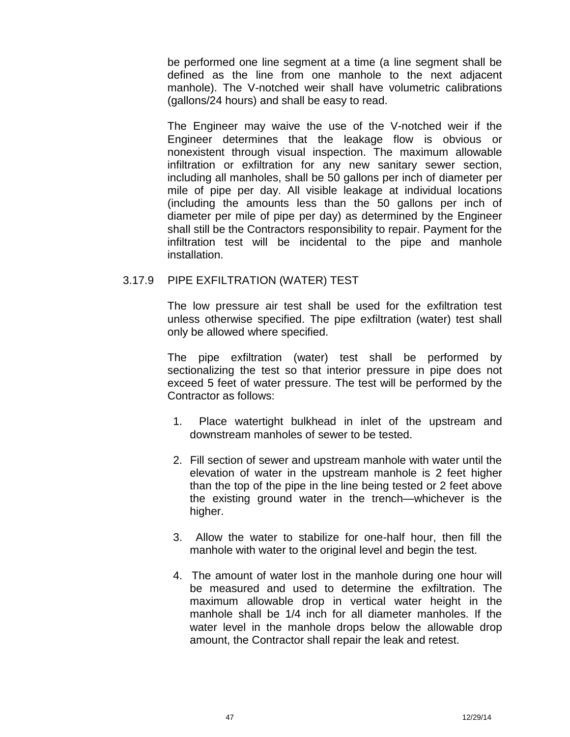be performed one line segment at a time (a line segment shall be defined as the line from one manhole to the next adjacent manhole). The V-notched weir shall have volumetric calibrations (gallons/24 hours) and shall be easy to read.

The Engineer may waive the use of the V-notched weir if the Engineer determines that the leakage flow is obvious or nonexistent through visual inspection. The maximum allowable infiltration or exfiltration for any new sanitary sewer section, including all manholes, shall be 50 gallons per inch of diameter per mile of pipe per day. All visible leakage at individual locations (including the amounts less than the 50 gallons per inch of diameter per mile of pipe per day) as determined by the Engineer shall still be the Contractors responsibility to repair. Payment for the infiltration test will be incidental to the pipe and manhole installation.

## 3.17.9 PIPE EXFILTRATION (WATER) TEST

The low pressure air test shall be used for the exfiltration test unless otherwise specified. The pipe exfiltration (water) test shall only be allowed where specified.

The pipe exfiltration (water) test shall be performed by sectionalizing the test so that interior pressure in pipe does not exceed 5 feet of water pressure. The test will be performed by the Contractor as follows:

- 1. Place watertight bulkhead in inlet of the upstream and downstream manholes of sewer to be tested.
- 2. Fill section of sewer and upstream manhole with water until the elevation of water in the upstream manhole is 2 feet higher than the top of the pipe in the line being tested or 2 feet above the existing ground water in the trench—whichever is the higher.
- 3. Allow the water to stabilize for one-half hour, then fill the manhole with water to the original level and begin the test.
- 4. The amount of water lost in the manhole during one hour will be measured and used to determine the exfiltration. The maximum allowable drop in vertical water height in the manhole shall be 1/4 inch for all diameter manholes. If the water level in the manhole drops below the allowable drop amount, the Contractor shall repair the leak and retest.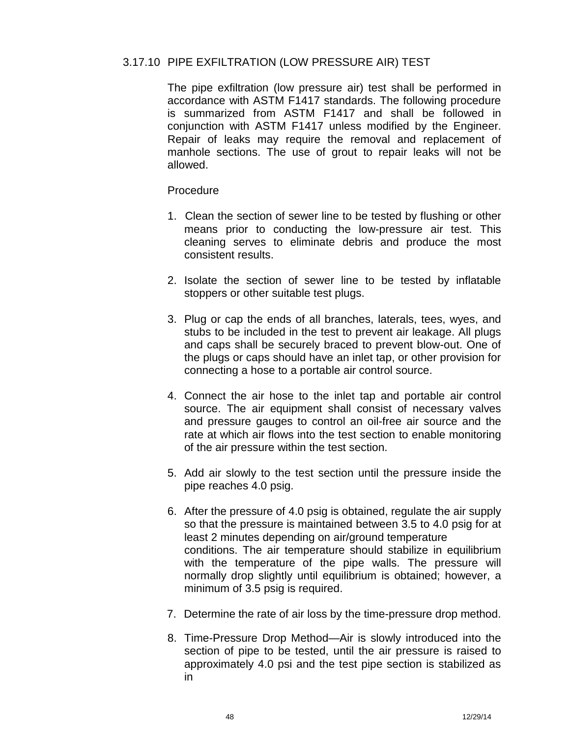## 3.17.10 PIPE EXFILTRATION (LOW PRESSURE AIR) TEST

The pipe exfiltration (low pressure air) test shall be performed in accordance with ASTM F1417 standards. The following procedure is summarized from ASTM F1417 and shall be followed in conjunction with ASTM F1417 unless modified by the Engineer. Repair of leaks may require the removal and replacement of manhole sections. The use of grout to repair leaks will not be allowed.

#### Procedure

- 1. Clean the section of sewer line to be tested by flushing or other means prior to conducting the low-pressure air test. This cleaning serves to eliminate debris and produce the most consistent results.
- 2. Isolate the section of sewer line to be tested by inflatable stoppers or other suitable test plugs.
- 3. Plug or cap the ends of all branches, laterals, tees, wyes, and stubs to be included in the test to prevent air leakage. All plugs and caps shall be securely braced to prevent blow-out. One of the plugs or caps should have an inlet tap, or other provision for connecting a hose to a portable air control source.
- 4. Connect the air hose to the inlet tap and portable air control source. The air equipment shall consist of necessary valves and pressure gauges to control an oil-free air source and the rate at which air flows into the test section to enable monitoring of the air pressure within the test section.
- 5. Add air slowly to the test section until the pressure inside the pipe reaches 4.0 psig.
- 6. After the pressure of 4.0 psig is obtained, regulate the air supply so that the pressure is maintained between 3.5 to 4.0 psig for at least 2 minutes depending on air/ground temperature conditions. The air temperature should stabilize in equilibrium with the temperature of the pipe walls. The pressure will normally drop slightly until equilibrium is obtained; however, a minimum of 3.5 psig is required.
- 7. Determine the rate of air loss by the time-pressure drop method.
- 8. Time-Pressure Drop Method—Air is slowly introduced into the section of pipe to be tested, until the air pressure is raised to approximately 4.0 psi and the test pipe section is stabilized as in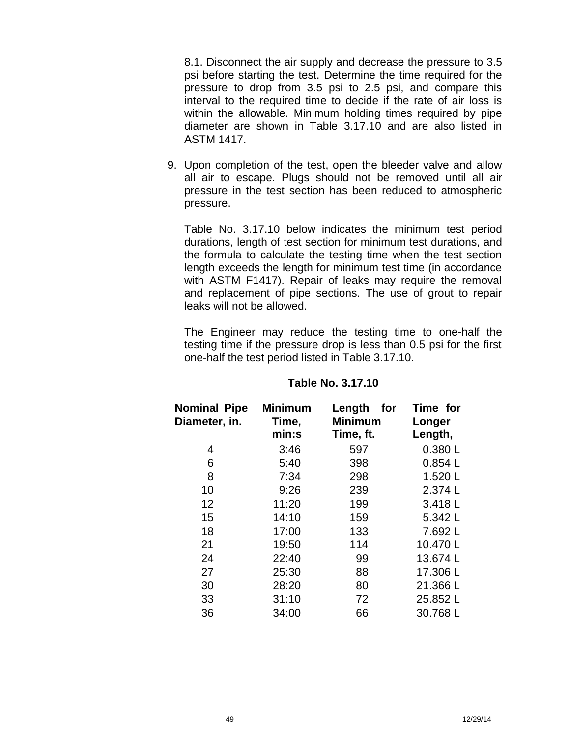8.1. Disconnect the air supply and decrease the pressure to 3.5 psi before starting the test. Determine the time required for the pressure to drop from 3.5 psi to 2.5 psi, and compare this interval to the required time to decide if the rate of air loss is within the allowable. Minimum holding times required by pipe diameter are shown in Table 3.17.10 and are also listed in ASTM 1417.

9. Upon completion of the test, open the bleeder valve and allow all air to escape. Plugs should not be removed until all air pressure in the test section has been reduced to atmospheric pressure.

Table No. 3.17.10 below indicates the minimum test period durations, length of test section for minimum test durations, and the formula to calculate the testing time when the test section length exceeds the length for minimum test time (in accordance with ASTM F1417). Repair of leaks may require the removal and replacement of pipe sections. The use of grout to repair leaks will not be allowed.

The Engineer may reduce the testing time to one-half the testing time if the pressure drop is less than 0.5 psi for the first one-half the test period listed in Table 3.17.10.

| <b>Nominal Pipe</b><br>Diameter, in. | <b>Minimum</b><br>Time,<br>min:s | Length<br>for<br><b>Minimum</b><br>Time, ft. | Time for<br>Longer<br>Length, |  |
|--------------------------------------|----------------------------------|----------------------------------------------|-------------------------------|--|
| 4                                    | 3:46                             | 597                                          | 0.380L                        |  |
| 6                                    | 5:40                             | 398                                          | 0.854L                        |  |
| 8                                    | 7:34                             | 298                                          | 1.520L                        |  |
| 10                                   | 9:26                             | 239                                          | 2.374 L                       |  |
| 12                                   | 11:20                            | 199                                          | 3.418L                        |  |
| 15                                   | 14:10                            | 159                                          | 5.342L                        |  |
| 18                                   | 17:00                            | 133                                          | 7.692L                        |  |
| 21                                   | 19:50                            | 114                                          | 10.470L                       |  |
| 24                                   | 22:40                            | 99                                           | 13.674L                       |  |
| 27                                   | 25:30                            | 88                                           | 17.306L                       |  |
| 30                                   | 28:20                            | 80                                           | 21.366L                       |  |
| 33                                   | 31:10                            | 72                                           | 25.852L                       |  |
| 36                                   | 34:00                            | 66                                           | 30.768L                       |  |

## **Table No. 3.17.10**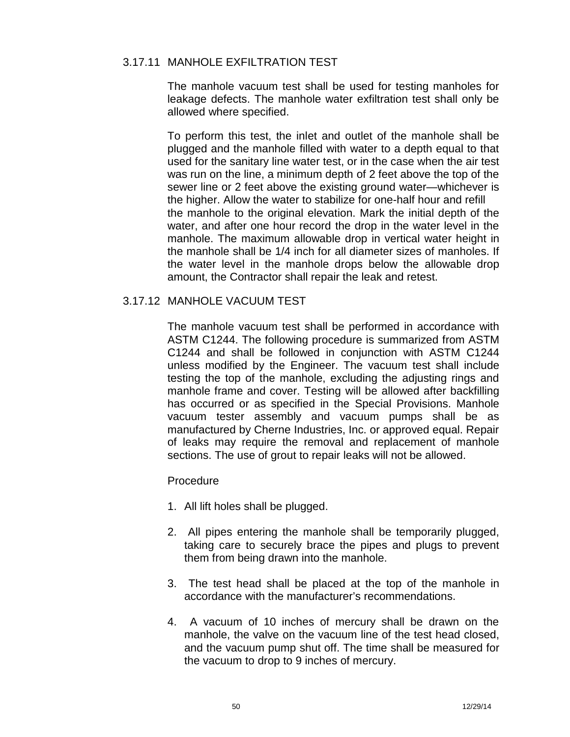## 3.17.11 MANHOLE EXFILTRATION TEST

The manhole vacuum test shall be used for testing manholes for leakage defects. The manhole water exfiltration test shall only be allowed where specified.

To perform this test, the inlet and outlet of the manhole shall be plugged and the manhole filled with water to a depth equal to that used for the sanitary line water test, or in the case when the air test was run on the line, a minimum depth of 2 feet above the top of the sewer line or 2 feet above the existing ground water—whichever is the higher. Allow the water to stabilize for one-half hour and refill the manhole to the original elevation. Mark the initial depth of the water, and after one hour record the drop in the water level in the manhole. The maximum allowable drop in vertical water height in the manhole shall be 1/4 inch for all diameter sizes of manholes. If the water level in the manhole drops below the allowable drop amount, the Contractor shall repair the leak and retest.

## 3.17.12 MANHOLE VACUUM TEST

The manhole vacuum test shall be performed in accordance with ASTM C1244. The following procedure is summarized from ASTM C1244 and shall be followed in conjunction with ASTM C1244 unless modified by the Engineer. The vacuum test shall include testing the top of the manhole, excluding the adjusting rings and manhole frame and cover. Testing will be allowed after backfilling has occurred or as specified in the Special Provisions. Manhole vacuum tester assembly and vacuum pumps shall be as manufactured by Cherne Industries, Inc. or approved equal. Repair of leaks may require the removal and replacement of manhole sections. The use of grout to repair leaks will not be allowed.

## Procedure

- 1. All lift holes shall be plugged.
- 2. All pipes entering the manhole shall be temporarily plugged, taking care to securely brace the pipes and plugs to prevent them from being drawn into the manhole.
- 3. The test head shall be placed at the top of the manhole in accordance with the manufacturer's recommendations.
- 4. A vacuum of 10 inches of mercury shall be drawn on the manhole, the valve on the vacuum line of the test head closed, and the vacuum pump shut off. The time shall be measured for the vacuum to drop to 9 inches of mercury.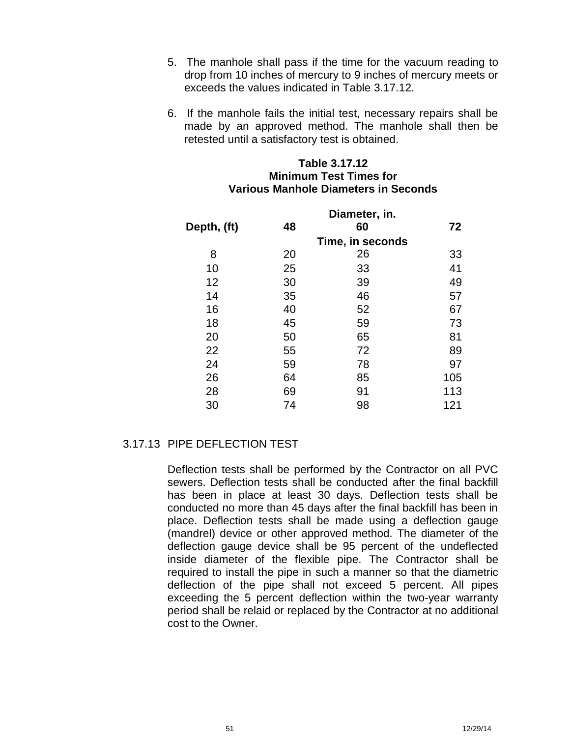- 5. The manhole shall pass if the time for the vacuum reading to drop from 10 inches of mercury to 9 inches of mercury meets or exceeds the values indicated in Table 3.17.12.
- 6. If the manhole fails the initial test, necessary repairs shall be made by an approved method. The manhole shall then be retested until a satisfactory test is obtained.

## **Table 3.17.12 Minimum Test Times for Various Manhole Diameters in Seconds**

|             |    | Diameter, in.    |     |
|-------------|----|------------------|-----|
| Depth, (ft) | 48 | 60               | 72  |
|             |    | Time, in seconds |     |
| 8           | 20 | 26               | 33  |
| 10          | 25 | 33               | 41  |
| 12          | 30 | 39               | 49  |
| 14          | 35 | 46               | 57  |
| 16          | 40 | 52               | 67  |
| 18          | 45 | 59               | 73  |
| 20          | 50 | 65               | 81  |
| 22          | 55 | 72               | 89  |
| 24          | 59 | 78               | 97  |
| 26          | 64 | 85               | 105 |
| 28          | 69 | 91               | 113 |
| 30          | 74 | 98               | 121 |

## 3.17.13 PIPE DEFLECTION TEST

Deflection tests shall be performed by the Contractor on all PVC sewers. Deflection tests shall be conducted after the final backfill has been in place at least 30 days. Deflection tests shall be conducted no more than 45 days after the final backfill has been in place. Deflection tests shall be made using a deflection gauge (mandrel) device or other approved method. The diameter of the deflection gauge device shall be 95 percent of the undeflected inside diameter of the flexible pipe. The Contractor shall be required to install the pipe in such a manner so that the diametric deflection of the pipe shall not exceed 5 percent. All pipes exceeding the 5 percent deflection within the two-year warranty period shall be relaid or replaced by the Contractor at no additional cost to the Owner.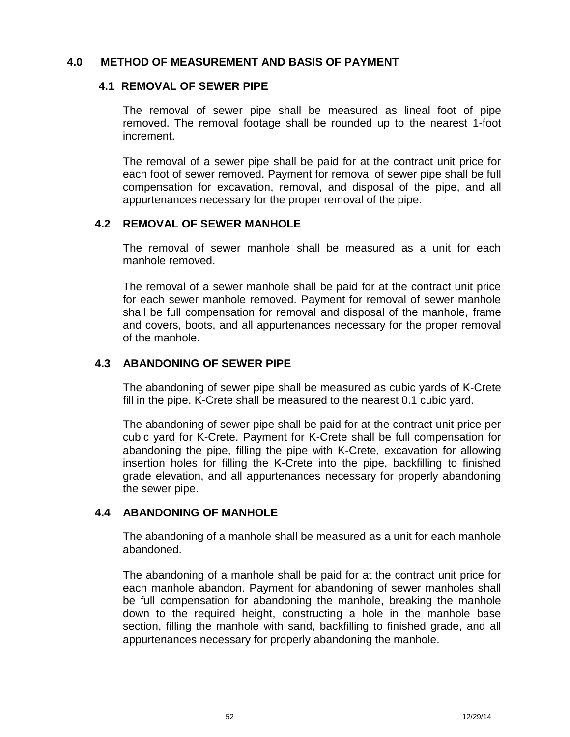## **4.0 METHOD OF MEASUREMENT AND BASIS OF PAYMENT**

## **4.1 REMOVAL OF SEWER PIPE**

The removal of sewer pipe shall be measured as lineal foot of pipe removed. The removal footage shall be rounded up to the nearest 1-foot increment.

The removal of a sewer pipe shall be paid for at the contract unit price for each foot of sewer removed. Payment for removal of sewer pipe shall be full compensation forexcavation, removal, and disposal of the pipe, and all appurtenances necessary for the proper removal of the pipe.

## **4.2 REMOVAL OF SEWER MANHOLE**

The removal of sewer manhole shall be measured as a unit for each manhole removed.

The removal of a sewer manhole shall be paid for at the contract unit price for each sewer manhole removed. Payment for removal of sewer manhole shall be full compensation for removal and disposal of the manhole, frame and covers, boots, and all appurtenances necessary for the proper removal of the manhole.

## **4.3 ABANDONING OF SEWER PIPE**

The abandoning of sewer pipe shall be measured as cubic yards of K-Crete fill in the pipe. K-Crete shall be measured to the nearest 0.1 cubic yard.

The abandoning of sewer pipe shall be paid for at the contract unit price per cubic yard for K-Crete. Payment for K-Crete shall be full compensation for abandoning the pipe, filling the pipe with K-Crete, excavation for allowing insertion holes for filling the K-Crete into the pipe, backfilling to finished grade elevation, and all appurtenances necessary for properly abandoning the sewer pipe.

## **4.4 ABANDONING OF MANHOLE**

The abandoning of a manhole shall be measured as a unit for each manhole abandoned.

The abandoning of a manhole shall be paid for at the contract unit price for each manhole abandon. Payment for abandoning of sewer manholes shall be full compensation for abandoning the manhole, breaking the manhole down to the required height, constructing a hole in the manhole base section, filling the manhole with sand, backfilling to finished grade, and all appurtenances necessary for properly abandoning the manhole.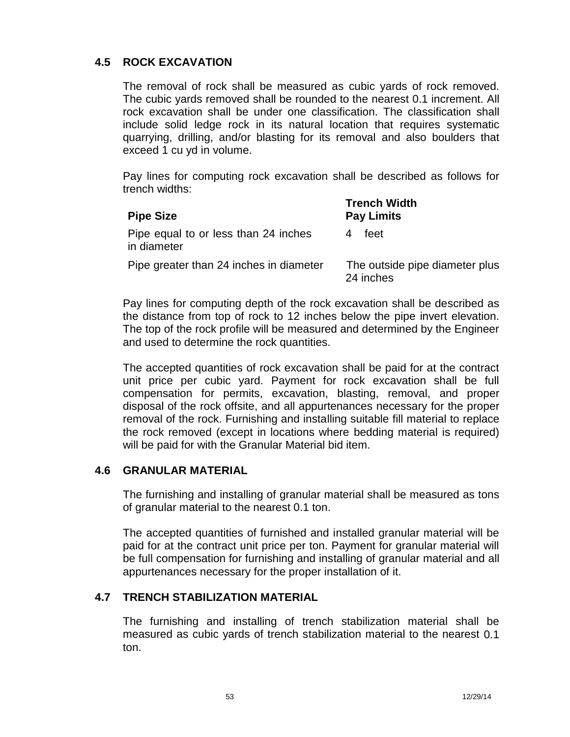## **4.5 ROCK EXCAVATION**

The removal of rock shall be measured as cubic yards of rock removed. The cubic yards removed shall be rounded to the nearest 0.1 increment. All rock excavation shall be under one classification. The classification shall include solid ledge rock in its natural location that requires systematic quarrying, drilling, and/or blasting for its removal and also boulders that exceed 1 cu yd in volume.

Pay lines for computing rock excavation shall be described as follows for trench widths:

| <b>Pipe Size</b>                                    | <b>Trench Width</b><br><b>Pay Limits</b>    |
|-----------------------------------------------------|---------------------------------------------|
| Pipe equal to or less than 24 inches<br>in diameter | feet                                        |
| Pipe greater than 24 inches in diameter             | The outside pipe diameter plus<br>24 inches |

Pay lines for computing depth of the rock excavation shall be described as the distance from top of rock to 12 inches below the pipe invert elevation. The top of the rock profile will be measured and determined by the Engineer and used to determine the rock quantities.

The accepted quantities of rock excavation shall be paid for at the contract unit price per cubic yard. Payment for rock excavation shall be full compensation for permits, excavation, blasting, removal, and proper disposal of the rock offsite, and all appurtenances necessary for the proper removal of the rock. Furnishing and installing suitable fill material to replace the rock removed (except in locations where bedding material is required) will be paid for with the Granular Material bid item.

## **4.6 GRANULAR MATERIAL**

The furnishing and installing of granular material shall be measured as tons of granular material to the nearest 0.1 ton.

The accepted quantities of furnished and installed granular material will be paid for at the contract unit price per ton. Payment for granular material will be full compensation for furnishing and installing of granular material and all appurtenances necessary for the proper installation of it.

## **4.7 TRENCH STABILIZATION MATERIAL**

The furnishing and installing of trench stabilization material shall be measured as cubic yards of trench stabilization material to the nearest 0.1 ton.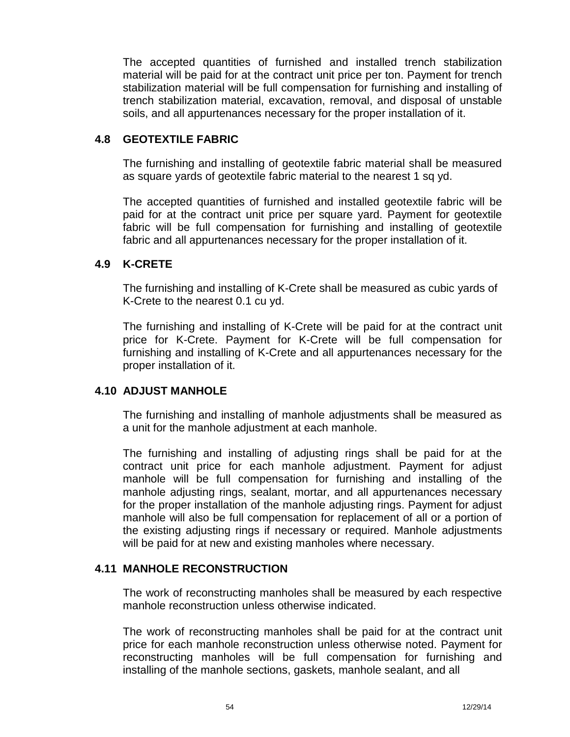The accepted quantities of furnished and installed trench stabilization material will be paid for at the contract unit price per ton. Payment for trench stabilization material will be full compensation for furnishing and installing of trench stabilization material, excavation, removal, and disposal of unstable soils, and all appurtenances necessary for the proper installation of it.

## **4.8 GEOTEXTILE FABRIC**

The furnishing and installing of geotextile fabric material shall be measured as square yards of geotextile fabric material to the nearest 1 sq yd.

The accepted quantities of furnished and installed geotextile fabric will be paid for at the contract unit price per square yard. Payment for geotextile fabric will be full compensation for furnishing and installing of geotextile fabric and all appurtenances necessary for the proper installation of it.

## **4.9 K-CRETE**

The furnishing and installing of K-Crete shall be measured as cubic yards of K-Crete to the nearest 0.1 cu yd.

The furnishing and installing of K-Crete will be paid for at the contract unit price for K-Crete. Payment for K-Crete will be full compensation for furnishing and installing of K-Crete and all appurtenances necessary for the proper installation of it.

## **4.10 ADJUST MANHOLE**

The furnishing and installing of manhole adjustments shall be measured as a unit for the manhole adjustment at each manhole.

The furnishing and installing of adjusting rings shall be paid for at the contract unit price for each manhole adjustment. Payment for adjust manhole will be full compensation for furnishing and installing of the manhole adjusting rings, sealant, mortar, and all appurtenances necessary for the proper installation of the manhole adjusting rings. Payment for adjust manhole will also be full compensation for replacement of all or a portion of the existing adjusting rings if necessary or required. Manhole adjustments will be paid for at new and existing manholes where necessary.

## **4.11 MANHOLE RECONSTRUCTION**

The work of reconstructing manholes shall be measured by each respective manhole reconstruction unless otherwise indicated.

The work of reconstructing manholes shall be paid for at the contract unit price for each manhole reconstruction unless otherwise noted. Payment for reconstructing manholes will be full compensation for furnishing and installing of the manhole sections, gaskets, manhole sealant, and all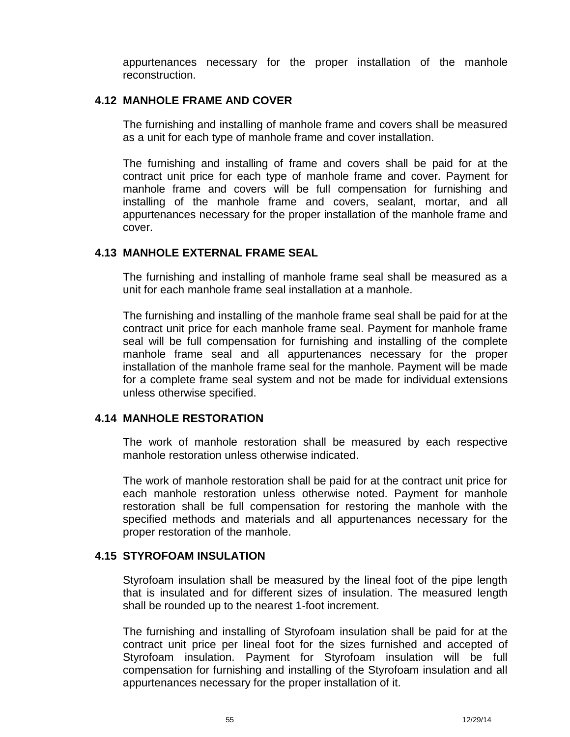appurtenances necessary for the proper installation of the manhole reconstruction.

## **4.12 MANHOLE FRAME AND COVER**

The furnishing and installing of manhole frame and covers shall be measured as a unit for each type of manhole frame and cover installation.

The furnishing and installing of frame and covers shall be paid for at the contract unit price for each type of manhole frame and cover. Payment for manhole frame and covers will be full compensation for furnishing and installing of the manhole frame and covers, sealant, mortar, and all appurtenances necessary for the proper installation of the manhole frame and cover.

## **4.13 MANHOLE EXTERNAL FRAME SEAL**

The furnishing and installing of manhole frame seal shall be measured as a unit for each manhole frame seal installation at a manhole.

The furnishing and installing of the manhole frame seal shall be paid for at the contract unit price for each manhole frame seal. Payment for manhole frame seal will be full compensation for furnishing and installing of the complete manhole frame seal and all appurtenances necessary for the proper installation of the manhole frame seal for the manhole. Payment will be made for a complete frame seal system and not be made for individual extensions unless otherwise specified.

## **4.14 MANHOLE RESTORATION**

The work of manhole restoration shall be measured by each respective manhole restoration unless otherwise indicated.

The work of manhole restoration shall be paid for at the contract unit price for each manhole restoration unless otherwise noted. Payment for manhole restoration shall be full compensation for restoring the manhole with the specified methods and materials and all appurtenances necessary for the proper restoration of the manhole.

## **4.15 STYROFOAM INSULATION**

Styrofoam insulation shall be measured by the lineal foot of the pipe length that is insulated and for different sizes of insulation. The measured length shall be rounded up to the nearest 1-foot increment.

The furnishing and installing of Styrofoam insulation shall be paid for at the contract unit price per lineal foot for the sizes furnished and accepted of Styrofoam insulation. Payment for Styrofoam insulation will be full compensation for furnishing and installing of the Styrofoam insulation and all appurtenances necessary for the proper installation of it.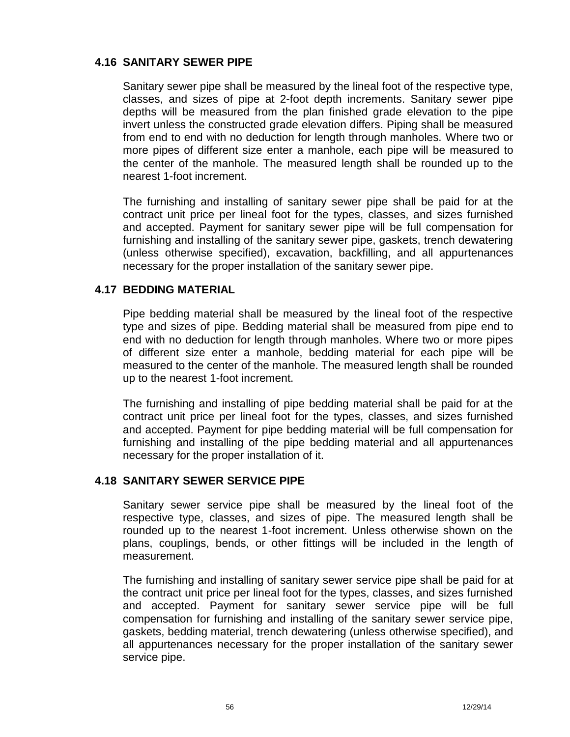## **4.16 SANITARY SEWER PIPE**

Sanitary sewer pipe shall be measured by the lineal foot of the respective type, classes, and sizes of pipe at 2-foot depth increments. Sanitary sewer pipe depths will be measured from the plan finished grade elevation to the pipe invert unless the constructed grade elevation differs. Piping shall be measured from end to end with no deduction for length through manholes. Where two or more pipes of different size enter a manhole, each pipe will be measured to the center of the manhole. The measured length shall be rounded up to the nearest 1-foot increment.

The furnishing and installing of sanitary sewer pipe shall be paid for at the contract unit price per lineal foot for the types, classes, and sizes furnished and accepted. Payment for sanitary sewer pipe will be full compensation for furnishing and installing of the sanitary sewer pipe, gaskets, trench dewatering (unless otherwise specified), excavation, backfilling, and all appurtenances necessary for the proper installation of the sanitary sewer pipe.

## **4.17 BEDDING MATERIAL**

Pipe bedding material shall be measured by the lineal foot of the respective type and sizes of pipe. Bedding material shall be measured from pipe end to end with no deduction for length through manholes. Where two or more pipes of different size enter a manhole, bedding material for each pipe will be measured to the center of the manhole. The measured length shall be rounded up to the nearest 1-foot increment.

The furnishing and installing of pipe bedding material shall be paid for at the contract unit price per lineal foot for the types, classes, and sizes furnished and accepted. Payment for pipe bedding material will be full compensation for furnishing and installing of the pipe bedding material and all appurtenances necessary for the proper installation of it.

## **4.18 SANITARY SEWER SERVICE PIPE**

Sanitary sewer service pipe shall be measured by the lineal foot of the respective type, classes, and sizes of pipe. The measured length shall be rounded up to the nearest 1-foot increment. Unless otherwise shown on the plans, couplings, bends, or other fittings will be included in the length of measurement.

The furnishing and installing of sanitary sewer service pipe shall be paid for at the contract unit price per lineal foot for the types, classes, and sizes furnished and accepted. Payment for sanitary sewer service pipe will be full compensation for furnishing and installing of the sanitary sewer service pipe, gaskets, bedding material, trench dewatering (unless otherwise specified), and all appurtenances necessary for the proper installation of the sanitary sewer service pipe.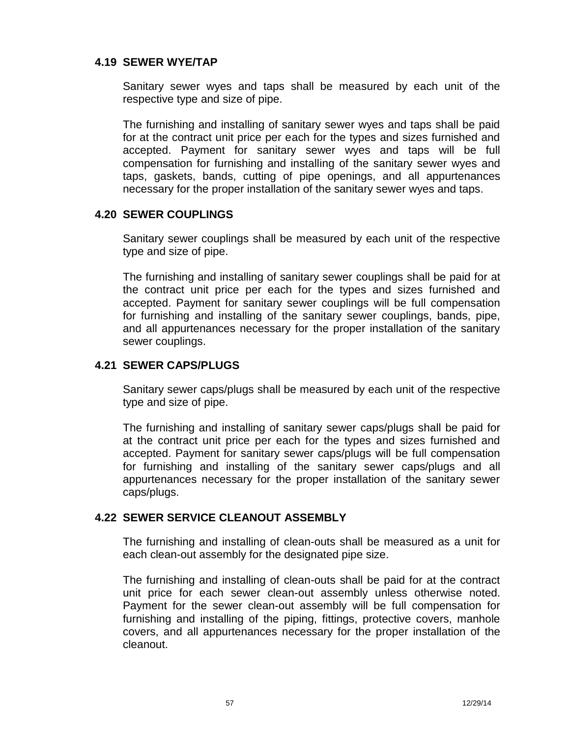## **4.19 SEWER WYE/TAP**

Sanitary sewer wyes and taps shall be measured by each unit of the respective type and size of pipe.

The furnishing and installing of sanitary sewer wyes and taps shall be paid for at the contract unit price per each for the types and sizes furnished and accepted. Payment for sanitary sewer wyes and taps will be full compensation for furnishing and installing of the sanitary sewer wyes and taps, gaskets, bands, cutting of pipe openings, and all appurtenances necessary for the proper installation of the sanitary sewer wyes and taps.

## **4.20 SEWER COUPLINGS**

Sanitary sewer couplings shall be measured by each unit of the respective type and size of pipe.

The furnishing and installing of sanitary sewer couplings shall be paid for at the contract unit price per each for the types and sizes furnished and accepted. Payment for sanitary sewer couplings will be full compensation for furnishing and installing of the sanitary sewer couplings, bands, pipe, and all appurtenances necessary for the proper installation of the sanitary sewer couplings.

## **4.21 SEWER CAPS/PLUGS**

Sanitary sewer caps/plugs shall be measured by each unit of the respective type and size of pipe.

The furnishing and installing of sanitary sewer caps/plugs shall be paid for at the contract unit price per each for the types and sizes furnished and accepted. Payment for sanitary sewer caps/plugs will be full compensation for furnishing and installing of the sanitary sewer caps/plugs and all appurtenances necessary for the proper installation of the sanitary sewer caps/plugs.

## **4.22 SEWER SERVICE CLEANOUT ASSEMBLY**

The furnishing and installing of clean-outs shall be measured as a unit for each clean-out assembly for the designated pipe size.

The furnishing and installing of clean-outs shall be paid for at the contract unit price for each sewer clean-out assembly unless otherwise noted. Payment for the sewer clean-out assembly will be full compensation for furnishing and installing of the piping, fittings, protective covers, manhole covers, and all appurtenances necessary for the proper installation of the cleanout.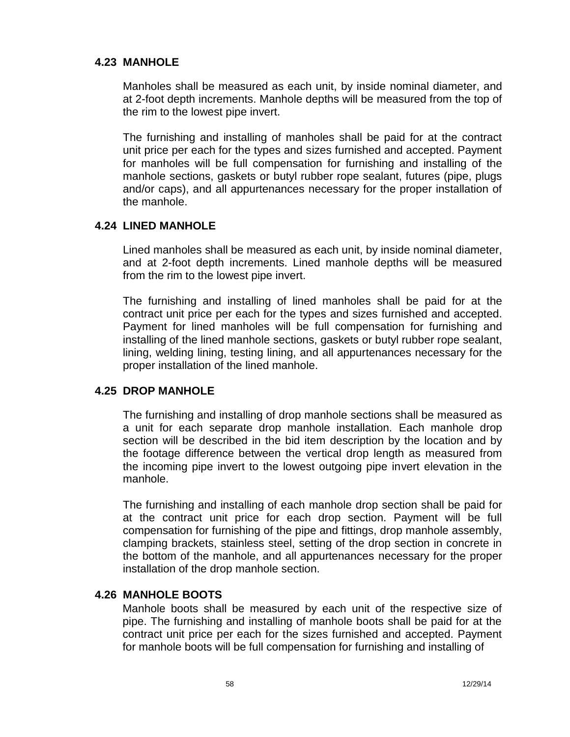## **4.23 MANHOLE**

Manholes shall be measured as each unit, by inside nominal diameter, and at 2-foot depth increments. Manhole depths will be measured from the top of the rim to the lowest pipe invert.

The furnishing and installing of manholes shall be paid for at the contract unit price per each for the types and sizes furnished and accepted. Payment for manholes will be full compensation for furnishing and installing of the manhole sections, gaskets or butyl rubber rope sealant, futures (pipe, plugs and/or caps), and all appurtenances necessary for the proper installation of the manhole.

## **4.24 LINED MANHOLE**

Lined manholes shall be measured as each unit, by inside nominal diameter, and at 2-foot depth increments. Lined manhole depths will be measured from the rim to the lowest pipe invert.

The furnishing and installing of lined manholes shall be paid for at the contract unit price per each for the types and sizes furnished and accepted. Payment for lined manholes will be full compensation for furnishing and installing of the lined manhole sections, gaskets or butyl rubber rope sealant, lining, welding lining, testing lining, and all appurtenances necessary for the proper installation of the lined manhole.

## **4.25 DROP MANHOLE**

The furnishing and installing of drop manhole sections shall be measured as a unit for each separate drop manhole installation. Each manhole drop section will be described in the bid item description by the location and by the footage difference between the vertical drop length as measured from the incoming pipe invert to the lowest outgoing pipe invert elevation in the manhole.

The furnishing and installing of each manhole drop section shall be paid for at the contract unit price for each drop section. Payment will be full compensation for furnishing of the pipe and fittings, drop manhole assembly, clamping brackets, stainless steel, setting of the drop section in concrete in the bottom of the manhole, and all appurtenances necessary for the proper installation of the drop manhole section.

## **4.26 MANHOLE BOOTS**

Manhole boots shall be measured by each unit of the respective size of pipe. The furnishing and installing of manhole boots shall be paid for at the contract unit price per each for the sizes furnished and accepted. Payment for manhole boots will be full compensation for furnishing and installing of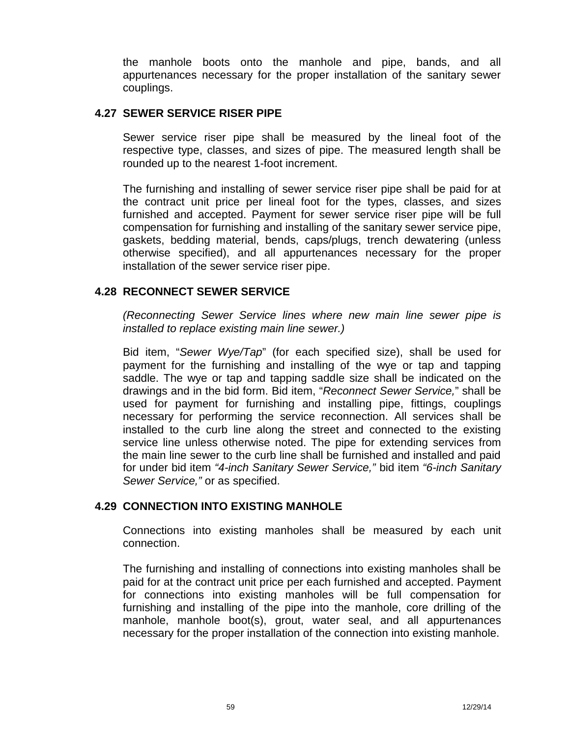the manhole boots onto the manhole and pipe, bands, and all appurtenances necessary for the proper installation of the sanitary sewer couplings.

## **4.27 SEWER SERVICE RISER PIPE**

Sewer service riser pipe shall be measured by the lineal foot of the respective type, classes, and sizes of pipe. The measured length shall be rounded up to the nearest 1-foot increment.

The furnishing and installing of sewer service riser pipe shall be paid for at the contract unit price per lineal foot for the types, classes, and sizes furnished and accepted. Payment for sewer service riser pipe will be full compensation for furnishing and installing of the sanitary sewer service pipe, gaskets, bedding material, bends, caps/plugs, trench dewatering (unless otherwise specified), and all appurtenances necessary for the proper installation of the sewer service riser pipe.

## **4.28 RECONNECT SEWER SERVICE**

*(Reconnecting Sewer Service lines where new main line sewer pipe is installed to replace existing main line sewer.)*

Bid item, "*Sewer Wye/Tap*" (for each specified size), shall be used for payment for the furnishing and installing of the wye or tap and tapping saddle. The wye or tap and tapping saddle size shall be indicated on the drawings and in the bid form. Bid item, "*Reconnect Sewer Service,*" shall be used for payment for furnishing and installing pipe, fittings, couplings necessary for performing the service reconnection. All services shall be installed to the curb line along the street and connected to the existing service line unless otherwise noted. The pipe for extending services from the main line sewer to the curb line shall be furnished and installed and paid for under bid item *"4-inch Sanitary Sewer Service,"* bid item *"6-inch Sanitary Sewer Service,"* or as specified.

## **4.29 CONNECTION INTO EXISTING MANHOLE**

Connections into existing manholes shall be measured by each unit connection.

The furnishing and installing of connections into existing manholes shall be paid for at the contract unit price per each furnished and accepted. Payment for connections into existing manholes will be full compensation for furnishing and installing of the pipe into the manhole, core drilling of the manhole, manhole boot(s), grout, water seal, and all appurtenances necessary for the proper installation of the connection into existing manhole.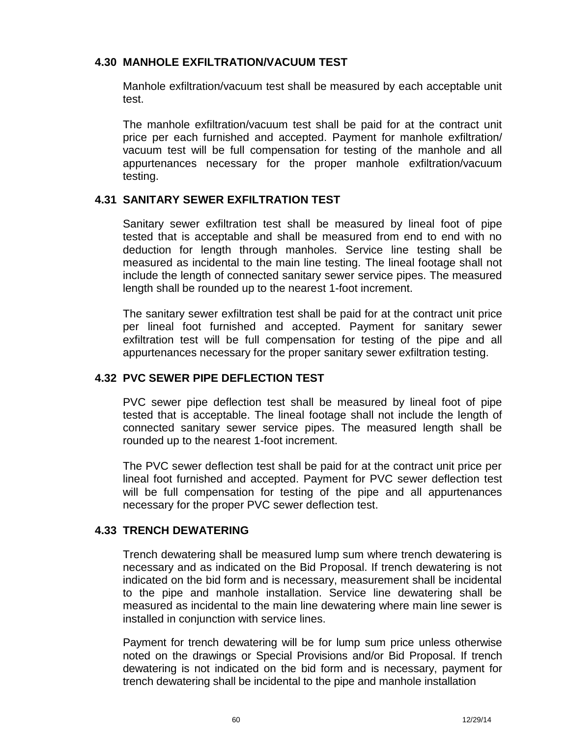## **4.30 MANHOLE EXFILTRATION/VACUUM TEST**

Manhole exfiltration/vacuum test shall be measured by each acceptable unit test.

The manhole exfiltration/vacuum test shall be paid for at the contract unit price per each furnished and accepted. Payment for manhole exfiltration/ vacuum test will be full compensation for testing of the manhole and all appurtenances necessary for the proper manhole exfiltration/vacuum testing.

## **4.31 SANITARY SEWER EXFILTRATION TEST**

Sanitary sewer exfiltration test shall be measured by lineal foot of pipe tested that is acceptable and shall be measured from end to end with no deduction for length through manholes. Service line testing shall be measured as incidental to the main line testing. The lineal footage shall not include the length of connected sanitary sewer service pipes. The measured length shall be rounded up to the nearest 1-foot increment.

The sanitary sewer exfiltration test shall be paid for at the contract unit price per lineal foot furnished and accepted. Payment for sanitary sewer exfiltration test will be full compensation for testing of the pipe and all appurtenances necessary for the proper sanitary sewer exfiltration testing.

## **4.32 PVC SEWER PIPE DEFLECTION TEST**

PVC sewer pipe deflection test shall be measured by lineal foot of pipe tested that is acceptable. The lineal footage shall not include the length of connected sanitary sewer service pipes. The measured length shall be rounded up to the nearest 1-foot increment.

The PVC sewer deflection test shall be paid for at the contract unit price per lineal foot furnished and accepted. Payment for PVC sewer deflection test will be full compensation for testing of the pipe and all appurtenances necessary for the proper PVC sewer deflection test.

## **4.33 TRENCH DEWATERING**

Trench dewatering shall be measured lump sum where trench dewatering is necessary and as indicated on the Bid Proposal. If trench dewatering is not indicated on the bid form and is necessary, measurement shall be incidental to the pipe and manhole installation. Service line dewatering shall be measured as incidental to the main line dewatering where main line sewer is installed in conjunction with service lines.

Payment for trench dewatering will be for lump sum price unless otherwise noted on the drawings or Special Provisions and/or Bid Proposal. If trench dewatering is not indicated on the bid form and is necessary, payment for trench dewatering shall be incidental to the pipe and manhole installation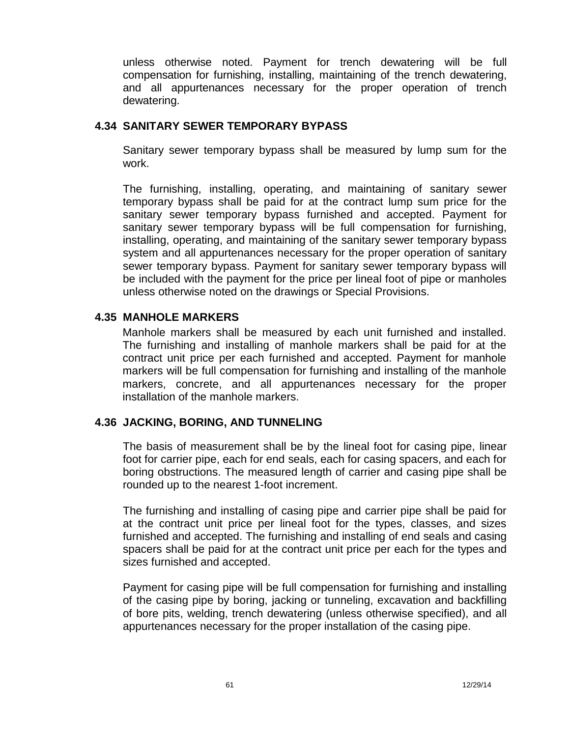unless otherwise noted. Payment for trench dewatering will be full compensation for furnishing, installing, maintaining of the trench dewatering, and all appurtenances necessary for the proper operation of trench dewatering.

## **4.34 SANITARY SEWER TEMPORARY BYPASS**

Sanitary sewer temporary bypass shall be measured by lump sum for the work.

The furnishing, installing, operating, and maintaining of sanitary sewer temporary bypass shall be paid for at the contract lump sum price for the sanitary sewer temporary bypass furnished and accepted. Payment for sanitary sewer temporary bypass will be full compensation for furnishing, installing, operating, and maintaining of the sanitary sewer temporary bypass system and all appurtenances necessary for the proper operation of sanitary sewer temporary bypass. Payment for sanitary sewer temporary bypass will be included with the payment for the price per lineal foot of pipe or manholes unless otherwise noted on the drawings or Special Provisions.

## **4.35 MANHOLE MARKERS**

Manhole markers shall be measured by each unit furnished and installed. The furnishing and installing of manhole markers shall be paid for at the contract unit price per each furnished and accepted. Payment for manhole markers will be full compensation for furnishing and installing of the manhole markers, concrete, and all appurtenances necessary for the proper installation of the manhole markers.

## **4.36 JACKING, BORING, AND TUNNELING**

The basis of measurement shall be by the lineal foot for casing pipe, linear foot for carrier pipe, each for end seals, each for casing spacers, and each for boring obstructions. The measured length of carrier and casing pipe shall be rounded up to the nearest 1-foot increment.

The furnishing and installing of casing pipe and carrier pipe shall be paid for at the contract unit price per lineal foot for the types, classes, and sizes furnished and accepted. The furnishing and installing of end seals and casing spacers shall be paid for at the contract unit price per each for the types and sizes furnished and accepted.

Payment for casing pipe will be full compensation for furnishing and installing of the casing pipe by boring, jacking or tunneling, excavation and backfilling of bore pits, welding, trench dewatering (unless otherwise specified), and all appurtenances necessary for the proper installation of the casing pipe.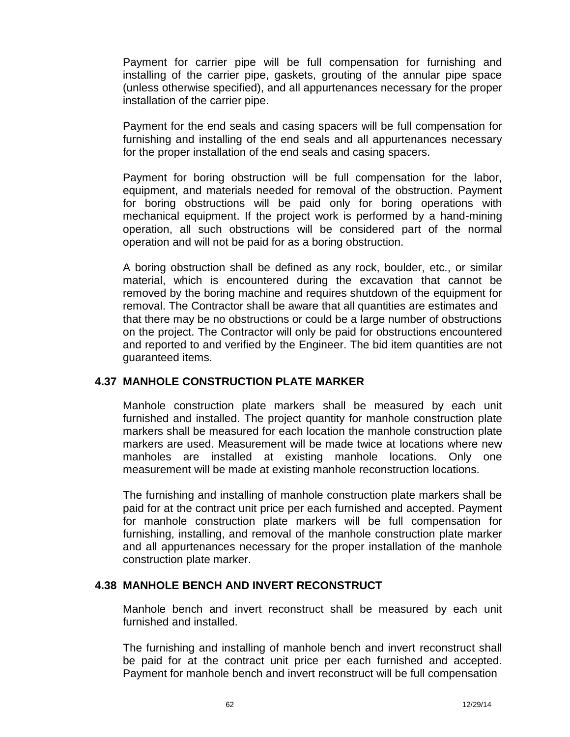Payment for carrier pipe will be full compensation for furnishing and installing of the carrier pipe, gaskets, grouting of the annular pipe space (unless otherwise specified), and all appurtenances necessary for the proper installation of the carrier pipe.

Payment for the end seals and casing spacers will be full compensation for furnishing and installing of the end seals and all appurtenances necessary for the proper installation of the end seals and casing spacers.

Payment for boring obstruction will be full compensation for the labor, equipment, and materials needed for removal of the obstruction. Payment for boring obstructions will be paid only for boring operations with mechanical equipment. If the project work is performed by a hand-mining operation, all such obstructions will be considered part of the normal operation and will not be paid for as a boring obstruction.

A boring obstruction shall be defined as any rock, boulder, etc., or similar material, which is encountered during the excavation that cannot be removed by the boring machine and requires shutdown of the equipment for removal. The Contractor shall be aware that all quantities are estimates and that there may be no obstructions or could be a large number of obstructions on the project. The Contractor will only be paid for obstructions encountered and reported to and verified by the Engineer. The bid item quantities are not guaranteed items.

## **4.37 MANHOLE CONSTRUCTION PLATE MARKER**

Manhole construction plate markers shall be measured by each unit furnished and installed. The project quantity for manhole construction plate markers shall be measured for each location the manhole construction plate markers are used. Measurement will be made twice at locations where new manholes are installed at existing manhole locations. Only one measurement will be made at existing manhole reconstruction locations.

The furnishing and installing of manhole construction plate markers shall be paid for at the contract unit price per each furnished and accepted. Payment for manhole construction plate markers will be full compensation for furnishing, installing, and removal of the manhole construction plate marker and all appurtenances necessary for the proper installation of the manhole construction plate marker.

## **4.38 MANHOLE BENCH AND INVERT RECONSTRUCT**

Manhole bench and invert reconstruct shall be measured by each unit furnished and installed.

The furnishing and installing of manhole bench and invert reconstruct shall be paid for at the contract unit price per each furnished and accepted. Payment for manhole bench and invert reconstruct will be full compensation